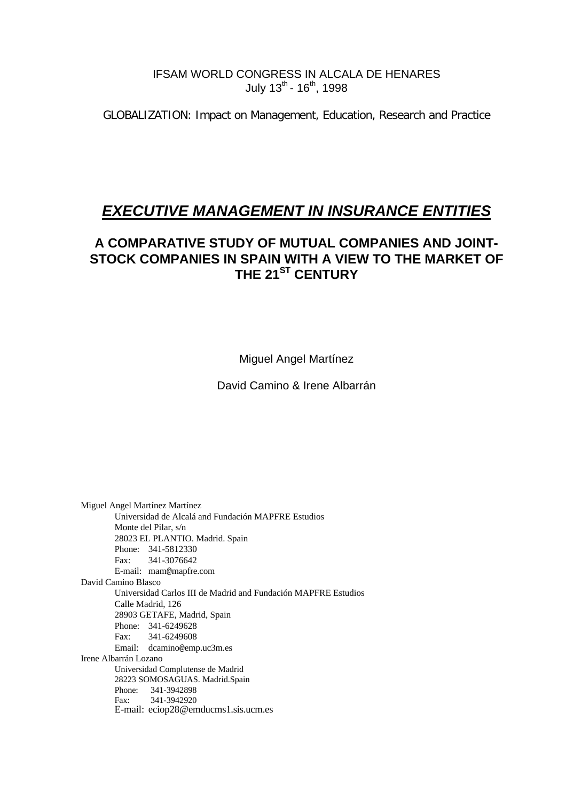#### IFSAM WORLD CONGRESS IN ALCALA DE HENARES July  $13^{th}$  -  $16^{th}$ , 1998

GLOBALIZATION: Impact on Management, Education, Research and Practice

# *EXECUTIVE MANAGEMENT IN INSURANCE ENTITIES*

# **A COMPARATIVE STUDY OF MUTUAL COMPANIES AND JOINT-STOCK COMPANIES IN SPAIN WITH A VIEW TO THE MARKET OF THE 21ST CENTURY**

Miguel Angel Martínez

David Camino & Irene Albarrán

Miguel Angel Martínez Martínez Universidad de Alcalá and Fundación MAPFRE Estudios Monte del Pilar, s/n 28023 EL PLANTIO. Madrid. Spain Phone: 341-5812330 Fax: 341-3076642 E-mail: mam@mapfre.com David Camino Blasco Universidad Carlos III de Madrid and Fundación MAPFRE Estudios Calle Madrid, 126 28903 GETAFE, Madrid, Spain Phone: 341-6249628 Fax: 341-6249608 Email: dcamino@emp.uc3m.es Irene Albarrán Lozano Universidad Complutense de Madrid 28223 SOMOSAGUAS. Madrid.Spain Phone: 341-3942898 Fax: 341-3942920 E-mail: eciop28@emducms1.sis.ucm.es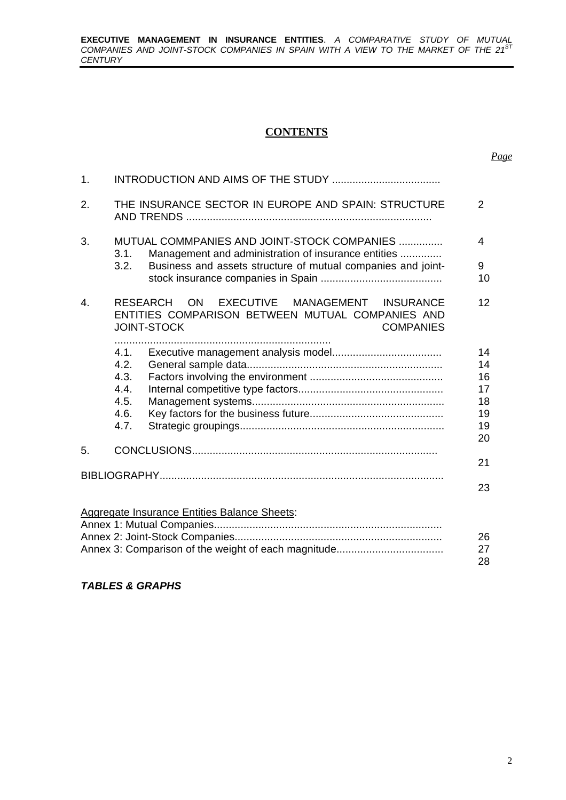**EXECUTIVE MANAGEMENT IN INSURANCE ENTITIES**. *A COMPARATIVE STUDY OF MUTUAL COMPANIES AND JOINT-STOCK COMPANIES IN SPAIN WITH A VIEW TO THE MARKET OF THE 21ST CENTURY*

#### **CONTENTS**

| 1. |           |                                                                                                                                                              |         |
|----|-----------|--------------------------------------------------------------------------------------------------------------------------------------------------------------|---------|
| 2. |           | THE INSURANCE SECTOR IN EUROPE AND SPAIN: STRUCTURE                                                                                                          | 2       |
| 3. | 3.1.      | MUTUAL COMMPANIES AND JOINT-STOCK COMPANIES<br>Management and administration of insurance entities                                                           | 4       |
|    | 3.2.      | Business and assets structure of mutual companies and joint-                                                                                                 | 9<br>10 |
| 4. |           | EXECUTIVE MANAGEMENT INSURANCE<br><b>RESEARCH</b><br><b>ON</b><br>ENTITIES COMPARISON BETWEEN MUTUAL COMPANIES AND<br><b>JOINT-STOCK</b><br><b>COMPANIES</b> | 12      |
|    | .<br>4.1. |                                                                                                                                                              | 14      |
|    | 4.2.      |                                                                                                                                                              | 14      |
|    | 4.3.      |                                                                                                                                                              | 16      |
|    | 4.4.      |                                                                                                                                                              | 17      |
|    | 4.5.      |                                                                                                                                                              | 18      |
|    | 4.6.      |                                                                                                                                                              | 19      |
|    | 4.7.      |                                                                                                                                                              | 19      |
|    |           |                                                                                                                                                              | 20      |
| 5. |           |                                                                                                                                                              |         |
|    |           |                                                                                                                                                              | 21      |
|    |           |                                                                                                                                                              | 23      |
|    |           | <b>Aggregate Insurance Entities Balance Sheets:</b>                                                                                                          |         |
|    |           |                                                                                                                                                              |         |
|    |           |                                                                                                                                                              | 26      |
|    |           |                                                                                                                                                              | 27      |
|    |           |                                                                                                                                                              | 28      |

#### *TABLES & GRAPHS*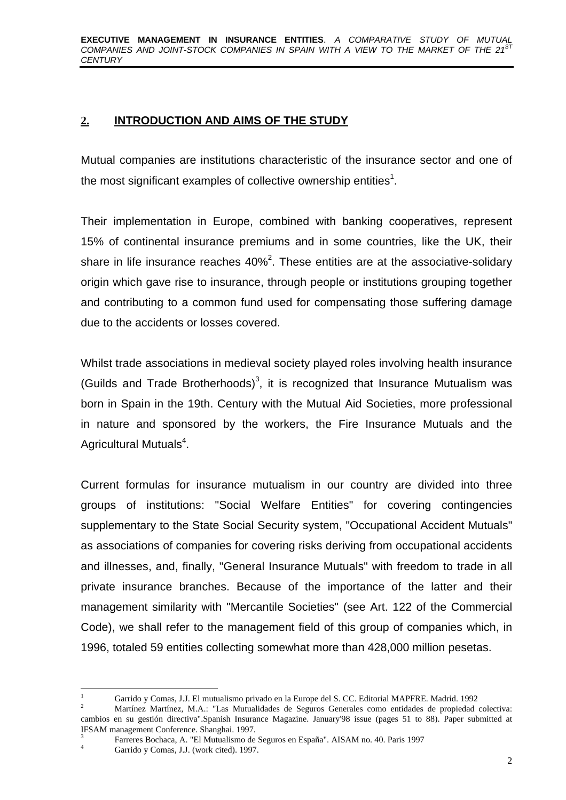# **2. INTRODUCTION AND AIMS OF THE STUDY**

Mutual companies are institutions characteristic of the insurance sector and one of the most significant examples of collective ownership entities<sup>1</sup>.

Their implementation in Europe, combined with banking cooperatives, represent 15% of continental insurance premiums and in some countries, like the UK, their share in life insurance reaches 40%<sup>2</sup>. These entities are at the associative-solidary origin which gave rise to insurance, through people or institutions grouping together and contributing to a common fund used for compensating those suffering damage due to the accidents or losses covered.

Whilst trade associations in medieval society played roles involving health insurance (Guilds and Trade Brotherhoods)<sup>3</sup>, it is recognized that Insurance Mutualism was born in Spain in the 19th. Century with the Mutual Aid Societies, more professional in nature and sponsored by the workers, the Fire Insurance Mutuals and the Agricultural Mutuals<sup>4</sup>.

Current formulas for insurance mutualism in our country are divided into three groups of institutions: "Social Welfare Entities" for covering contingencies supplementary to the State Social Security system, "Occupational Accident Mutuals" as associations of companies for covering risks deriving from occupational accidents and illnesses, and, finally, "General Insurance Mutuals" with freedom to trade in all private insurance branches. Because of the importance of the latter and their management similarity with "Mercantile Societies" (see Art. 122 of the Commercial Code), we shall refer to the management field of this group of companies which, in 1996, totaled 59 entities collecting somewhat more than 428,000 million pesetas.

 $\mathbf{1}$ <sup>1</sup> Garrido y Comas, J.J. El mutualismo privado en la Europe del S. CC. Editorial MAPFRE. Madrid. 1992

<sup>2</sup> Martínez Martínez, M.A.: "Las Mutualidades de Seguros Generales como entidades de propiedad colectiva: cambios en su gestión directiva".Spanish Insurance Magazine. January'98 issue (pages 51 to 88). Paper submitted at IFSAM management Conference. Shanghai. 1997.

<sup>3</sup> Farreres Bochaca, A. "El Mutualismo de Seguros en España". AISAM no. 40. Paris 1997 <sup>4</sup> Garrido y Comas, J.J. (work cited). 1997.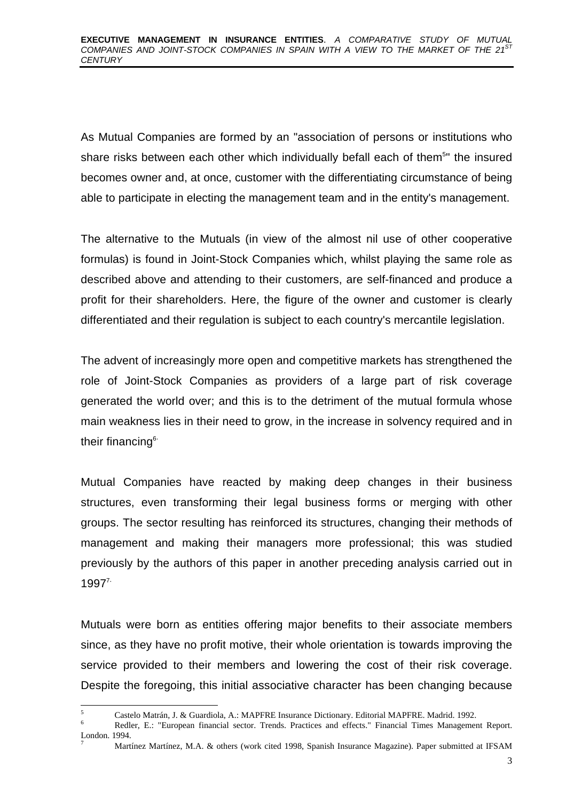As Mutual Companies are formed by an "association of persons or institutions who share risks between each other which individually befall each of them<sup>5</sup>" the insured becomes owner and, at once, customer with the differentiating circumstance of being able to participate in electing the management team and in the entity's management.

The alternative to the Mutuals (in view of the almost nil use of other cooperative formulas) is found in Joint-Stock Companies which, whilst playing the same role as described above and attending to their customers, are self-financed and produce a profit for their shareholders. Here, the figure of the owner and customer is clearly differentiated and their regulation is subject to each country's mercantile legislation.

The advent of increasingly more open and competitive markets has strengthened the role of Joint-Stock Companies as providers of a large part of risk coverage generated the world over; and this is to the detriment of the mutual formula whose main weakness lies in their need to grow, in the increase in solvency required and in their financing<sup>6</sup>

Mutual Companies have reacted by making deep changes in their business structures, even transforming their legal business forms or merging with other groups. The sector resulting has reinforced its structures, changing their methods of management and making their managers more professional; this was studied previously by the authors of this paper in another preceding analysis carried out in  $1997<sup>7</sup>$ 

Mutuals were born as entities offering major benefits to their associate members since, as they have no profit motive, their whole orientation is towards improving the service provided to their members and lowering the cost of their risk coverage. Despite the foregoing, this initial associative character has been changing because

<sup>-</sup> $\frac{5}{100}$  Castelo Matrán, J. & Guardiola, A.: MAPFRE Insurance Dictionary. Editorial MAPFRE. Madrid. 1992.

<sup>6</sup> Redler, E.: "European financial sector. Trends. Practices and effects." Financial Times Management Report. London. 1994.

<sup>7</sup> Martínez Martínez, M.A. & others (work cited 1998, Spanish Insurance Magazine). Paper submitted at IFSAM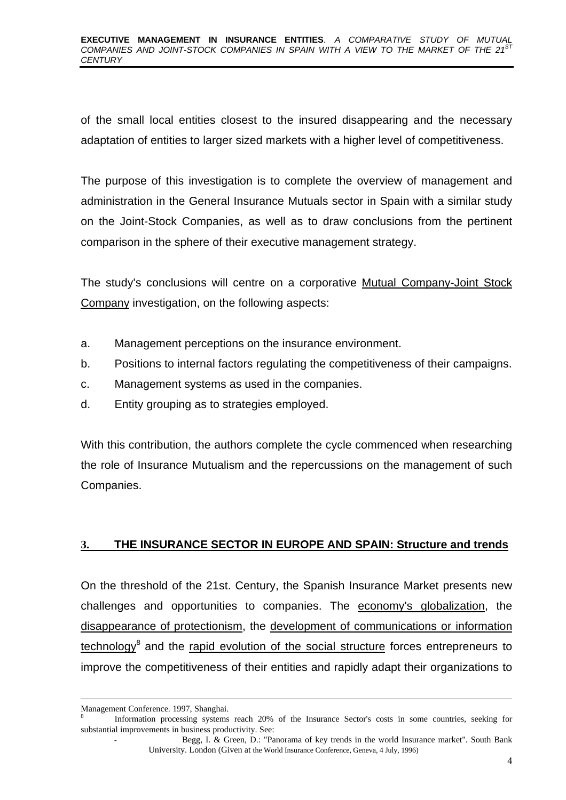#### **EXECUTIVE MANAGEMENT IN INSURANCE ENTITIES**. *A COMPARATIVE STUDY OF MUTUAL* COMPANIES AND JOINT-STOCK COMPANIES IN SPAIN WITH A VIEW TO THE MARKET OF THE 21<sup>S</sup> *CENTURY*

of the small local entities closest to the insured disappearing and the necessary adaptation of entities to larger sized markets with a higher level of competitiveness.

The purpose of this investigation is to complete the overview of management and administration in the General Insurance Mutuals sector in Spain with a similar study on the Joint-Stock Companies, as well as to draw conclusions from the pertinent comparison in the sphere of their executive management strategy.

The study's conclusions will centre on a corporative Mutual Company-Joint Stock Company investigation, on the following aspects:

- a. Management perceptions on the insurance environment.
- b. Positions to internal factors regulating the competitiveness of their campaigns.
- c. Management systems as used in the companies.
- d. Entity grouping as to strategies employed.

With this contribution, the authors complete the cycle commenced when researching the role of Insurance Mutualism and the repercussions on the management of such Companies.

#### **3. THE INSURANCE SECTOR IN EUROPE AND SPAIN: Structure and trends**

On the threshold of the 21st. Century, the Spanish Insurance Market presents new challenges and opportunities to companies. The economy's globalization, the disappearance of protectionism, the development of communications or information technology<sup>8</sup> and the rapid evolution of the social structure forces entrepreneurs to improve the competitiveness of their entities and rapidly adapt their organizations to

-

Management Conference. 1997, Shanghai.

<sup>8</sup> Information processing systems reach 20% of the Insurance Sector's costs in some countries, seeking for substantial improvements in business productivity. See:

Begg, I. & Green, D.: "Panorama of key trends in the world Insurance market". South Bank University. London (Given at the World Insurance Conference, Geneva, 4 July, 1996)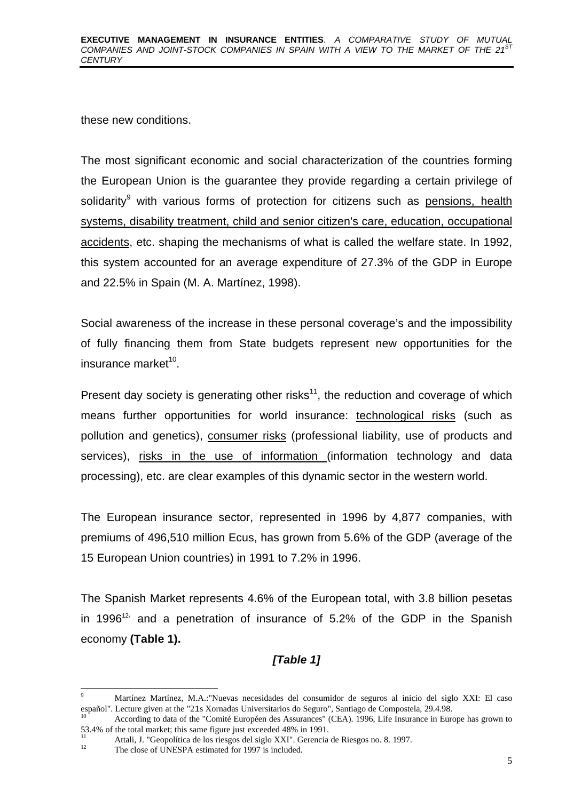these new conditions.

The most significant economic and social characterization of the countries forming the European Union is the guarantee they provide regarding a certain privilege of solidarity<sup>9</sup> with various forms of protection for citizens such as <u>pensions, health</u> systems, disability treatment, child and senior citizen's care, education, occupational accidents, etc. shaping the mechanisms of what is called the welfare state. In 1992, this system accounted for an average expenditure of 27.3% of the GDP in Europe and 22.5% in Spain (M. A. Martínez, 1998).

Social awareness of the increase in these personal coverage's and the impossibility of fully financing them from State budgets represent new opportunities for the insurance market<sup>10</sup>.

Present day society is generating other risks<sup>11</sup>, the reduction and coverage of which means further opportunities for world insurance: technological risks (such as pollution and genetics), consumer risks (professional liability, use of products and services), risks in the use of information (information technology and data processing), etc. are clear examples of this dynamic sector in the western world.

The European insurance sector, represented in 1996 by 4,877 companies, with premiums of 496,510 million Ecus, has grown from 5.6% of the GDP (average of the 15 European Union countries) in 1991 to 7.2% in 1996.

The Spanish Market represents 4.6% of the European total, with 3.8 billion pesetas in 1996<sup>12,</sup> and a penetration of insurance of 5.2% of the GDP in the Spanish economy **(Table 1).**

# *[Table 1]*

<sup>-</sup><sup>9</sup> Martínez Martínez, M.A.:"Nuevas necesidades del consumidor de seguros al inicio del siglo XXI: El caso español". Lecture given at the "21s Xornadas Universitarios do Seguro", Santiago de Compostela, 29.4.98.

<sup>10</sup> According to data of the "Comité Européen des Assurances" (CEA). 1996, Life Insurance in Europe has grown to 53.4% of the total market; this same figure just exceeded 48% in 1991.

<sup>&</sup>lt;sup>11</sup> Attali, J. "Geopolítica de los riesgos del siglo XXI". Gerencia de Riesgos no. 8. 1997.

The close of UNESPA estimated for 1997 is included.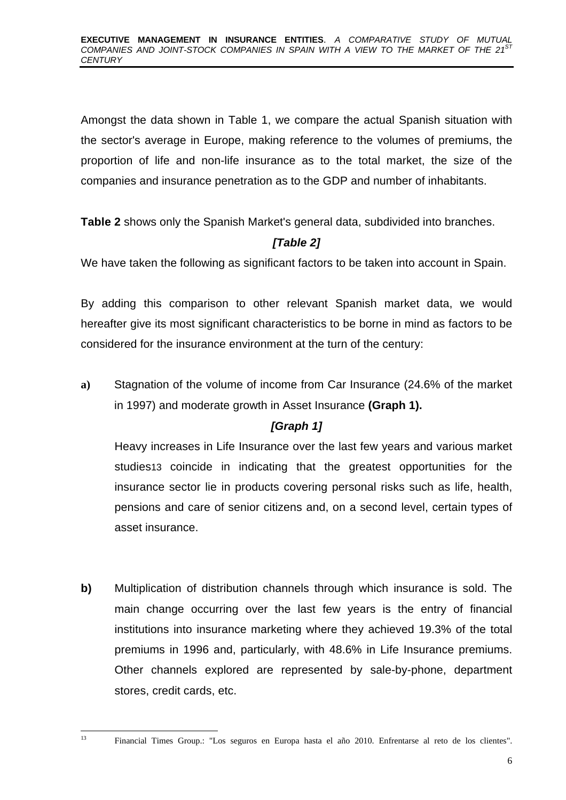Amongst the data shown in Table 1, we compare the actual Spanish situation with the sector's average in Europe, making reference to the volumes of premiums, the proportion of life and non-life insurance as to the total market, the size of the companies and insurance penetration as to the GDP and number of inhabitants.

**Table 2** shows only the Spanish Market's general data, subdivided into branches.

# *[Table 2]*

We have taken the following as significant factors to be taken into account in Spain.

By adding this comparison to other relevant Spanish market data, we would hereafter give its most significant characteristics to be borne in mind as factors to be considered for the insurance environment at the turn of the century:

**a)** Stagnation of the volume of income from Car Insurance (24.6% of the market in 1997) and moderate growth in Asset Insurance **(Graph 1).**

# *[Graph 1]*

Heavy increases in Life Insurance over the last few years and various market studies13 coincide in indicating that the greatest opportunities for the insurance sector lie in products covering personal risks such as life, health, pensions and care of senior citizens and, on a second level, certain types of asset insurance.

**b)** Multiplication of distribution channels through which insurance is sold. The main change occurring over the last few years is the entry of financial institutions into insurance marketing where they achieved 19.3% of the total premiums in 1996 and, particularly, with 48.6% in Life Insurance premiums. Other channels explored are represented by sale-by-phone, department stores, credit cards, etc.

 $\overline{12}$ 

<sup>13</sup> Financial Times Group.: "Los seguros en Europa hasta el año 2010. Enfrentarse al reto de los clientes".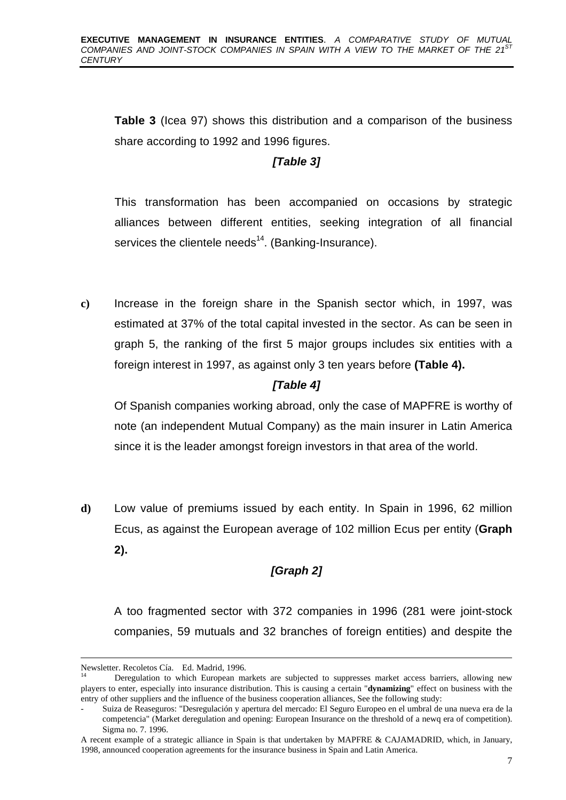**Table 3** (Icea 97) shows this distribution and a comparison of the business share according to 1992 and 1996 figures.

# *[Table 3]*

This transformation has been accompanied on occasions by strategic alliances between different entities, seeking integration of all financial services the clientele needs<sup>14</sup>. (Banking-Insurance).

**c)** Increase in the foreign share in the Spanish sector which, in 1997, was estimated at 37% of the total capital invested in the sector. As can be seen in graph 5, the ranking of the first 5 major groups includes six entities with a foreign interest in 1997, as against only 3 ten years before **(Table 4).**

# *[Table 4]*

Of Spanish companies working abroad, only the case of MAPFRE is worthy of note (an independent Mutual Company) as the main insurer in Latin America since it is the leader amongst foreign investors in that area of the world.

**d)** Low value of premiums issued by each entity. In Spain in 1996, 62 million Ecus, as against the European average of 102 million Ecus per entity (**Graph 2).**

# *[Graph 2]*

A too fragmented sector with 372 companies in 1996 (281 were joint-stock companies, 59 mutuals and 32 branches of foreign entities) and despite the

-

Newsletter. Recoletos Cía. Ed. Madrid, 1996.

Deregulation to which European markets are subjected to suppresses market access barriers, allowing new players to enter, especially into insurance distribution. This is causing a certain "**dynamizing**" effect on business with the entry of other suppliers and the influence of the business cooperation alliances, See the following study:

<sup>-</sup> Suiza de Reaseguros: "Desregulación y apertura del mercado: El Seguro Europeo en el umbral de una nueva era de la competencia" (Market deregulation and opening: European Insurance on the threshold of a newq era of competition). Sigma no. 7. 1996.

A recent example of a strategic alliance in Spain is that undertaken by MAPFRE & CAJAMADRID, which, in January, 1998, announced cooperation agreements for the insurance business in Spain and Latin America.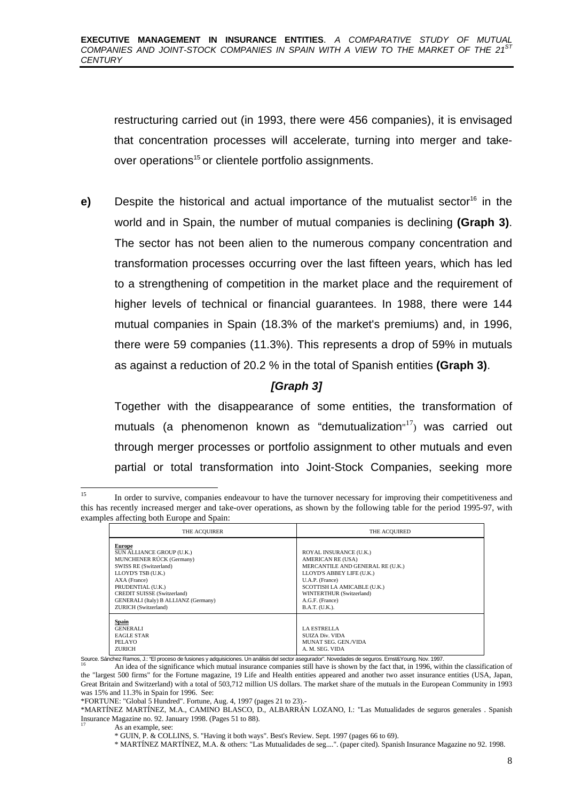restructuring carried out (in 1993, there were 456 companies), it is envisaged that concentration processes will accelerate, turning into merger and takeover operations<sup>15</sup> or clientele portfolio assignments.

**e)** Despite the historical and actual importance of the mutualist sector<sup>16</sup> in the world and in Spain, the number of mutual companies is declining **(Graph 3)**. The sector has not been alien to the numerous company concentration and transformation processes occurring over the last fifteen years, which has led to a strengthening of competition in the market place and the requirement of higher levels of technical or financial guarantees. In 1988, there were 144 mutual companies in Spain (18.3% of the market's premiums) and, in 1996, there were 59 companies (11.3%). This represents a drop of 59% in mutuals as against a reduction of 20.2 % in the total of Spanish entities **(Graph 3)**.

## *[Graph 3]*

Together with the disappearance of some entities, the transformation of mutuals (a phenomenon known as "demutualization"<sup>17</sup>) was carried out through merger processes or portfolio assignment to other mutuals and even partial or total transformation into Joint-Stock Companies, seeking more

<sup>15</sup> <sup>15</sup> In order to survive, companies endeavour to have the turnover necessary for improving their competitiveness and this has recently increased merger and take-over operations, as shown by the following table for the period 1995-97, with examples affecting both Europe and Spain:

| <b>THE ACOUIRER</b>                                                                                                                                                                                                                                        | THE ACOUIRED                                                                                                                                                                                                                           |
|------------------------------------------------------------------------------------------------------------------------------------------------------------------------------------------------------------------------------------------------------------|----------------------------------------------------------------------------------------------------------------------------------------------------------------------------------------------------------------------------------------|
| <b>Europe</b><br>SUN ALLIANCE GROUP (U.K.)<br>MUNCHENER RÚCK (Germany)<br>SWISS RE (Switzerland)<br>LLOYD'S TSB (U.K.)<br>AXA (France)<br>PRUDENTIAL (U.K.)<br>CREDIT SUISSE (Switzerland)<br>GENERALI (Italy) B ALLIANZ (Germany)<br>ZURICH (Switzerland) | ROYAL INSURANCE (U.K.)<br><b>AMERICAN RE (USA)</b><br>MERCANTILE AND GENERAL RE (U.K.)<br>LLOYD'S ABBEY LIFE (U.K.)<br>U.A.P. (France)<br>SCOTTISH LA AMICABLE (U.K.)<br>WINTERTHUR (Switzerland)<br>A.G.F. (France)<br>B.A.T. (U.K.). |
| Spain<br>GENERALI<br><b>EAGLE STAR</b><br>PELAYO<br><b>ZURICH</b>                                                                                                                                                                                          | <b>LA ESTRELLA</b><br><b>SUIZA Div. VIDA</b><br>MUNAT SEG. GEN./VIDA<br>A. M. SEG. VIDA                                                                                                                                                |

Source. Sánchez Ramos, J.: "El proceso de fusiones y adquisiciones. Un análisis del sector asegurador". Novedades de seguros. Ernst&Young. Nov. 1997.

<sup>16</sup> An idea of the significance which mutual insurance companies still have is shown by the fact that, in 1996, within the classification of the "largest 500 firms" for the Fortune magazine, 19 Life and Health entities appeared and another two asset insurance entities (USA, Japan, Great Britain and Switzerland) with a total of 503,712 million US dollars. The market share of the mutuals in the European Community in 1993 was 15% and 11.3% in Spain for 1996. See:

\*FORTUNE: "Global 5 Hundred". Fortune, Aug. 4, 1997 (pages 21 to 23).-

\*MARTÍNEZ MARTÍNEZ, M.A., CAMINO BLASCO, D., ALBARRÁN LOZANO, I.: "Las Mutualidades de seguros generales . Spanish Insurance Magazine no. 92. January 1998. (Pages 51 to 88).

As an example, see:

\* MARTÍNEZ MARTÍNEZ, M.A. & others: "Las Mutualidades de seg....". (paper cited). Spanish Insurance Magazine no 92. 1998.

<sup>\*</sup> GUIN, P. & COLLINS, S. "Having it both ways". Best's Review. Sept. 1997 (pages 66 to 69).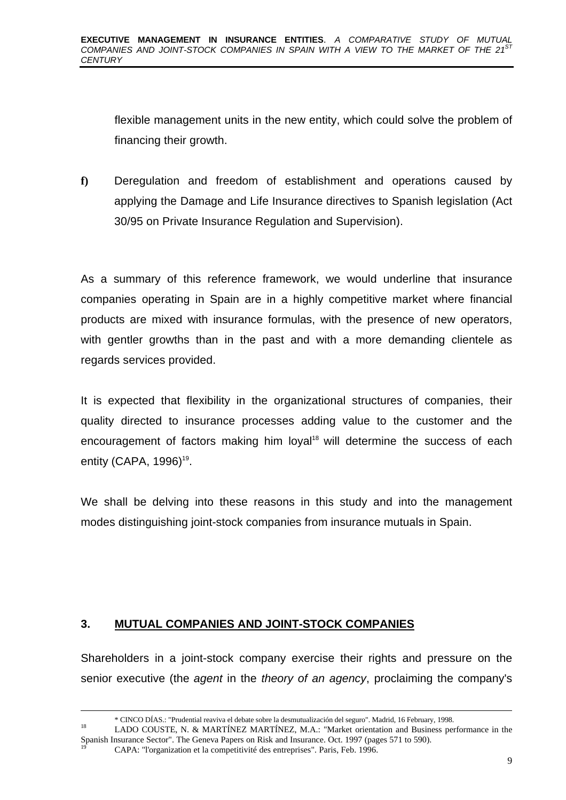flexible management units in the new entity, which could solve the problem of financing their growth.

**f)** Deregulation and freedom of establishment and operations caused by applying the Damage and Life Insurance directives to Spanish legislation (Act 30/95 on Private Insurance Regulation and Supervision).

As a summary of this reference framework, we would underline that insurance companies operating in Spain are in a highly competitive market where financial products are mixed with insurance formulas, with the presence of new operators, with gentler growths than in the past and with a more demanding clientele as regards services provided.

It is expected that flexibility in the organizational structures of companies, their quality directed to insurance processes adding value to the customer and the encouragement of factors making him loyal<sup>18</sup> will determine the success of each entity (CAPA, 1996) $19$ .

We shall be delving into these reasons in this study and into the management modes distinguishing joint-stock companies from insurance mutuals in Spain.

#### **3. MUTUAL COMPANIES AND JOINT-STOCK COMPANIES**

Shareholders in a joint-stock company exercise their rights and pressure on the senior executive (the *agent* in the *theory of an agency*, proclaiming the company's

-

<sup>\*</sup> CINCO DÍAS.: "Prudential reaviva el debate sobre la desmutualización del seguro". Madrid, 16 February, 1998.

<sup>18</sup> LADO COUSTE, N. & MARTÍNEZ MARTÍNEZ, M.A.: "Market orientation and Business performance in the Spanish Insurance Sector". The Geneva Papers on Risk and Insurance. Oct. 1997 (pages 571 to 590).

<sup>19</sup> CAPA: "l'organization et la competitivité des entreprises". Paris, Feb. 1996.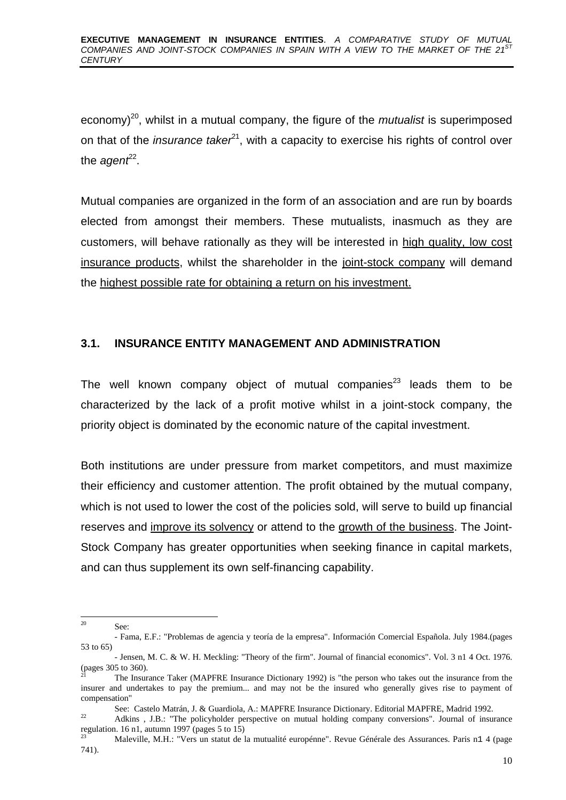economy)<sup>20</sup>, whilst in a mutual company, the figure of the *mutualist* is superimposed on that of the *insurance taker*<sup>21</sup>, with a capacity to exercise his rights of control over the *agent<sup>22</sup>*.

Mutual companies are organized in the form of an association and are run by boards elected from amongst their members. These mutualists, inasmuch as they are customers, will behave rationally as they will be interested in high quality, low cost insurance products, whilst the shareholder in the joint-stock company will demand the highest possible rate for obtaining a return on his investment.

## **3.1. INSURANCE ENTITY MANAGEMENT AND ADMINISTRATION**

The well known company object of mutual companies $^{23}$  leads them to be characterized by the lack of a profit motive whilst in a joint-stock company, the priority object is dominated by the economic nature of the capital investment.

Both institutions are under pressure from market competitors, and must maximize their efficiency and customer attention. The profit obtained by the mutual company, which is not used to lower the cost of the policies sold, will serve to build up financial reserves and improve its solvency or attend to the growth of the business. The Joint-Stock Company has greater opportunities when seeking finance in capital markets, and can thus supplement its own self-financing capability.

 $20$ See:

<sup>-</sup> Fama, E.F.: "Problemas de agencia y teoría de la empresa". Información Comercial Española. July 1984.(pages 53 to 65)

<sup>-</sup> Jensen, M. C. & W. H. Meckling: "Theory of the firm". Journal of financial economics". Vol. 3 n1 4 Oct. 1976.  $_{21}^{5}$  (pages 305 to 360).

The Insurance Taker (MAPFRE Insurance Dictionary 1992) is "the person who takes out the insurance from the insurer and undertakes to pay the premium... and may not be the insured who generally gives rise to payment of compensation"

See: Castelo Matrán, J. & Guardiola, A.: MAPFRE Insurance Dictionary. Editorial MAPFRE, Madrid 1992.

<sup>&</sup>lt;sup>22</sup> Adkins , J.B.: "The policyholder perspective on mutual holding company conversions". Journal of insurance regulation. 16 n1, autumn 1997 (pages 5 to 15)

<sup>23</sup> Maleville, M.H.: "Vers un statut de la mutualité europénne". Revue Générale des Assurances. Paris n1 4 (page 741).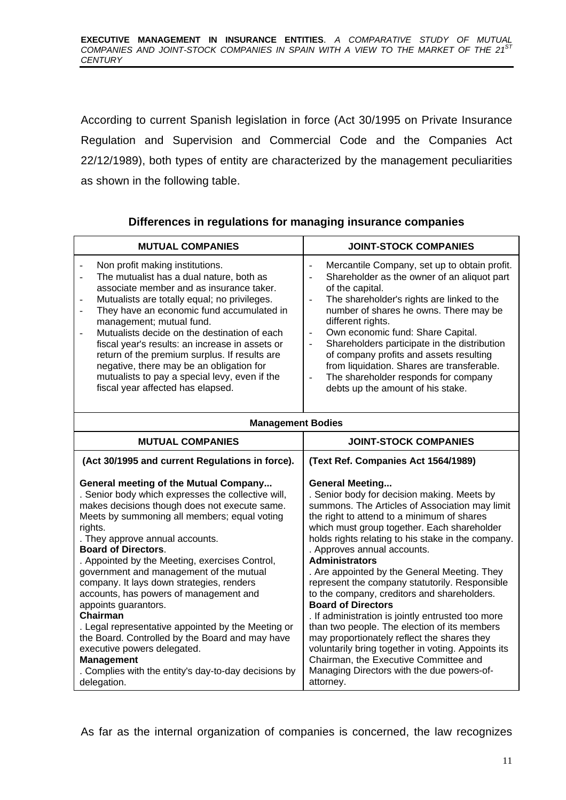According to current Spanish legislation in force (Act 30/1995 on Private Insurance Regulation and Supervision and Commercial Code and the Companies Act 22/12/1989), both types of entity are characterized by the management peculiarities as shown in the following table.

|  | Differences in regulations for managing insurance companies |  |  |
|--|-------------------------------------------------------------|--|--|
|  |                                                             |  |  |

| <b>MUTUAL COMPANIES</b>                                                                                                                                                                                                                                                                                                                                                                                                                                                                                                                                                                                                                                                                                                              | <b>JOINT-STOCK COMPANIES</b>                                                                                                                                                                                                                                                                                                                                                                                                                                                                                                                                                                                                                                                                                                                                                                                                   |  |  |  |
|--------------------------------------------------------------------------------------------------------------------------------------------------------------------------------------------------------------------------------------------------------------------------------------------------------------------------------------------------------------------------------------------------------------------------------------------------------------------------------------------------------------------------------------------------------------------------------------------------------------------------------------------------------------------------------------------------------------------------------------|--------------------------------------------------------------------------------------------------------------------------------------------------------------------------------------------------------------------------------------------------------------------------------------------------------------------------------------------------------------------------------------------------------------------------------------------------------------------------------------------------------------------------------------------------------------------------------------------------------------------------------------------------------------------------------------------------------------------------------------------------------------------------------------------------------------------------------|--|--|--|
| Non profit making institutions.<br>The mutualist has a dual nature, both as<br>$\blacksquare$<br>associate member and as insurance taker.<br>Mutualists are totally equal; no privileges.<br>$\overline{\phantom{0}}$<br>They have an economic fund accumulated in<br>$\overline{a}$<br>management; mutual fund.<br>Mutualists decide on the destination of each<br>fiscal year's results: an increase in assets or<br>return of the premium surplus. If results are<br>negative, there may be an obligation for<br>mutualists to pay a special levy, even if the<br>fiscal year affected has elapsed.                                                                                                                               | Mercantile Company, set up to obtain profit.<br>$\blacksquare$<br>Shareholder as the owner of an aliquot part<br>$\blacksquare$<br>of the capital.<br>The shareholder's rights are linked to the<br>$\blacksquare$<br>number of shares he owns. There may be<br>different rights.<br>Own economic fund: Share Capital.<br>$\omega$<br>Shareholders participate in the distribution<br>$\mathbf{r}$<br>of company profits and assets resulting<br>from liquidation. Shares are transferable.<br>The shareholder responds for company<br>debts up the amount of his stake.                                                                                                                                                                                                                                                       |  |  |  |
| <b>Management Bodies</b>                                                                                                                                                                                                                                                                                                                                                                                                                                                                                                                                                                                                                                                                                                             |                                                                                                                                                                                                                                                                                                                                                                                                                                                                                                                                                                                                                                                                                                                                                                                                                                |  |  |  |
| <b>MUTUAL COMPANIES</b>                                                                                                                                                                                                                                                                                                                                                                                                                                                                                                                                                                                                                                                                                                              | <b>JOINT-STOCK COMPANIES</b>                                                                                                                                                                                                                                                                                                                                                                                                                                                                                                                                                                                                                                                                                                                                                                                                   |  |  |  |
| (Act 30/1995 and current Regulations in force).                                                                                                                                                                                                                                                                                                                                                                                                                                                                                                                                                                                                                                                                                      | (Text Ref. Companies Act 1564/1989)                                                                                                                                                                                                                                                                                                                                                                                                                                                                                                                                                                                                                                                                                                                                                                                            |  |  |  |
| General meeting of the Mutual Company<br>. Senior body which expresses the collective will,<br>makes decisions though does not execute same.<br>Meets by summoning all members; equal voting<br>rights.<br>. They approve annual accounts.<br><b>Board of Directors.</b><br>. Appointed by the Meeting, exercises Control,<br>government and management of the mutual<br>company. It lays down strategies, renders<br>accounts, has powers of management and<br>appoints guarantors.<br>Chairman<br>. Legal representative appointed by the Meeting or<br>the Board. Controlled by the Board and may have<br>executive powers delegated.<br><b>Management</b><br>. Complies with the entity's day-to-day decisions by<br>delegation. | <b>General Meeting</b><br>. Senior body for decision making. Meets by<br>summons. The Articles of Association may limit<br>the right to attend to a minimum of shares<br>which must group together. Each shareholder<br>holds rights relating to his stake in the company.<br>. Approves annual accounts.<br><b>Administrators</b><br>. Are appointed by the General Meeting. They<br>represent the company statutorily. Responsible<br>to the company, creditors and shareholders.<br><b>Board of Directors</b><br>. If administration is jointly entrusted too more<br>than two people. The election of its members<br>may proportionately reflect the shares they<br>voluntarily bring together in voting. Appoints its<br>Chairman, the Executive Committee and<br>Managing Directors with the due powers-of-<br>attorney. |  |  |  |

As far as the internal organization of companies is concerned, the law recognizes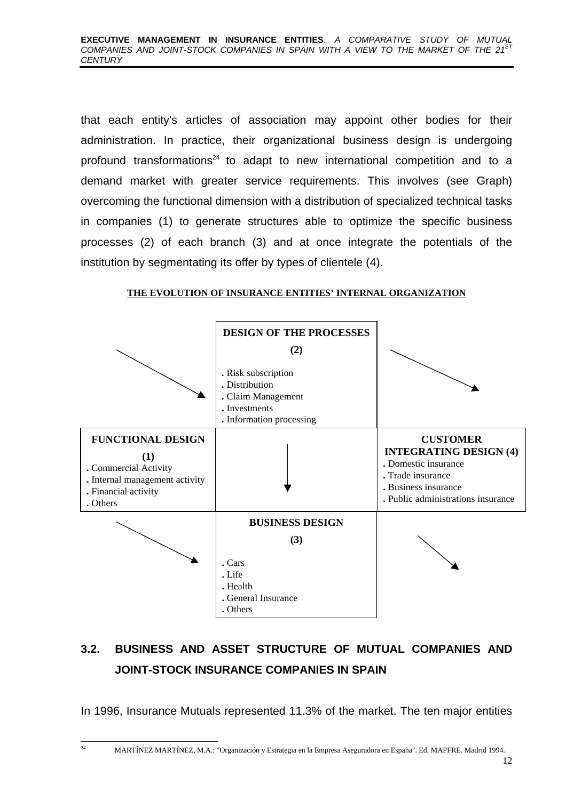that each entity's articles of association may appoint other bodies for their administration. In practice, their organizational business design is undergoing profound transformations<sup>24</sup> to adapt to new international competition and to a demand market with greater service requirements. This involves (see Graph) overcoming the functional dimension with a distribution of specialized technical tasks in companies (1) to generate structures able to optimize the specific business processes (2) of each branch (3) and at once integrate the potentials of the institution by segmentating its offer by types of clientele (4).

#### **THE EVOLUTION OF INSURANCE ENTITIES' INTERNAL ORGANIZATION**



# **3.2. BUSINESS AND ASSET STRUCTURE OF MUTUAL COMPANIES AND JOINT-STOCK INSURANCE COMPANIES IN SPAIN**

In 1996, Insurance Mutuals represented 11.3% of the market. The ten major entities

 $\overline{\mathbf{a}}$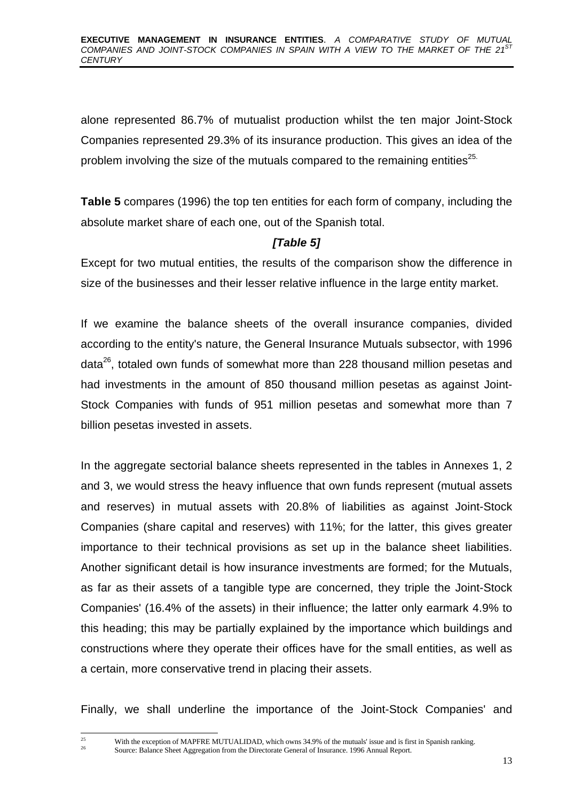alone represented 86.7% of mutualist production whilst the ten major Joint-Stock Companies represented 29.3% of its insurance production. This gives an idea of the problem involving the size of the mutuals compared to the remaining entities<sup>25.</sup>

**Table 5** compares (1996) the top ten entities for each form of company, including the absolute market share of each one, out of the Spanish total.

## *[Table 5]*

Except for two mutual entities, the results of the comparison show the difference in size of the businesses and their lesser relative influence in the large entity market.

If we examine the balance sheets of the overall insurance companies, divided according to the entity's nature, the General Insurance Mutuals subsector, with 1996 data<sup>26</sup>, totaled own funds of somewhat more than 228 thousand million pesetas and had investments in the amount of 850 thousand million pesetas as against Joint-Stock Companies with funds of 951 million pesetas and somewhat more than 7 billion pesetas invested in assets.

In the aggregate sectorial balance sheets represented in the tables in Annexes 1, 2 and 3, we would stress the heavy influence that own funds represent (mutual assets and reserves) in mutual assets with 20.8% of liabilities as against Joint-Stock Companies (share capital and reserves) with 11%; for the latter, this gives greater importance to their technical provisions as set up in the balance sheet liabilities. Another significant detail is how insurance investments are formed; for the Mutuals, as far as their assets of a tangible type are concerned, they triple the Joint-Stock Companies' (16.4% of the assets) in their influence; the latter only earmark 4.9% to this heading; this may be partially explained by the importance which buildings and constructions where they operate their offices have for the small entities, as well as a certain, more conservative trend in placing their assets.

Finally, we shall underline the importance of the Joint-Stock Companies' and

 $25$ 

<sup>&</sup>lt;sup>25</sup> With the exception of MAPFRE MUTUALIDAD, which owns 34.9% of the mutuals' issue and is first in Spanish ranking. <sup>26</sup> Source: Balance Sheet Aggregation from the Directorate General of Insurance. 1996 Annual Report.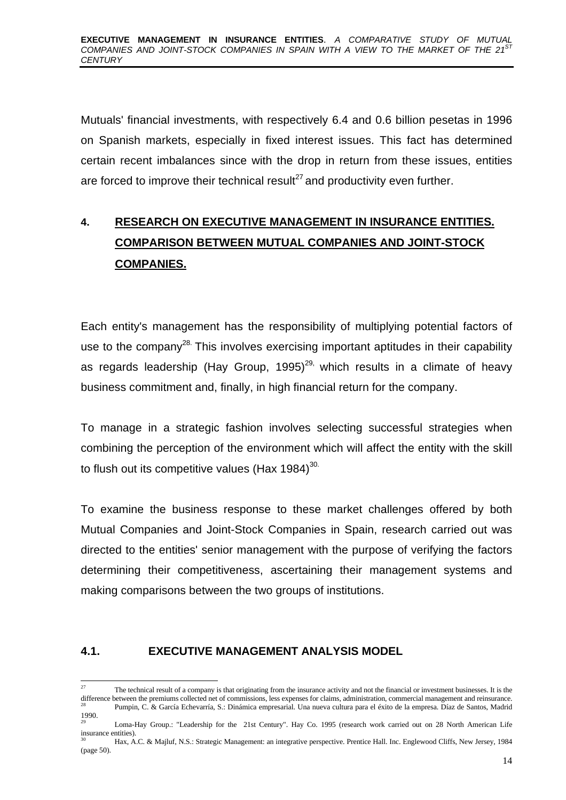Mutuals' financial investments, with respectively 6.4 and 0.6 billion pesetas in 1996 on Spanish markets, especially in fixed interest issues. This fact has determined certain recent imbalances since with the drop in return from these issues, entities are forced to improve their technical result $27$  and productivity even further.

# **4. RESEARCH ON EXECUTIVE MANAGEMENT IN INSURANCE ENTITIES. COMPARISON BETWEEN MUTUAL COMPANIES AND JOINT-STOCK COMPANIES.**

Each entity's management has the responsibility of multiplying potential factors of use to the company<sup>28.</sup> This involves exercising important aptitudes in their capability as regards leadership (Hay Group, 1995)<sup>29,</sup> which results in a climate of heavy business commitment and, finally, in high financial return for the company.

To manage in a strategic fashion involves selecting successful strategies when combining the perception of the environment which will affect the entity with the skill to flush out its competitive values (Hax  $1984$ )<sup>30.</sup>

To examine the business response to these market challenges offered by both Mutual Companies and Joint-Stock Companies in Spain, research carried out was directed to the entities' senior management with the purpose of verifying the factors determining their competitiveness, ascertaining their management systems and making comparisons between the two groups of institutions.

#### **4.1. EXECUTIVE MANAGEMENT ANALYSIS MODEL**

<sup>-</sup>The technical result of a company is that originating from the insurance activity and not the financial or investment businesses. It is the difference between the premiums collected net of commissions, less expenses for claims, administration, commercial management and reinsurance. <sup>28</sup> Pumpin, C. & García Echevarría, S.: Dinámica empresarial. Una nueva cultura para el éxito de la empresa. Díaz de Santos, Madrid 1990.

<sup>29</sup> Loma-Hay Group.: "Leadership for the 21st Century". Hay Co. 1995 (research work carried out on 28 North American Life insurance entities).

<sup>30</sup> Hax, A.C. & Majluf, N.S.: Strategic Management: an integrative perspective. Prentice Hall. Inc. Englewood Cliffs, New Jersey, 1984 (page 50).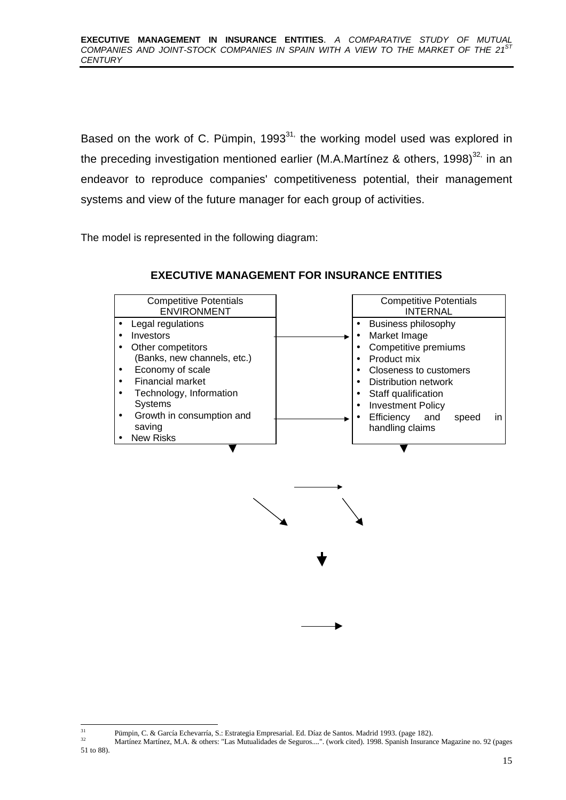Based on the work of C. Pümpin, 1993 $^{31}$ , the working model used was explored in the preceding investigation mentioned earlier (M.A.Martínez & others, 1998) $^{32}$  in an endeavor to reproduce companies' competitiveness potential, their management systems and view of the future manager for each group of activities.

The model is represented in the following diagram:

| <b>Competitive Potentials</b><br><b>ENVIRONMENT</b> | <b>Competitive Potentials</b><br><b>INTERNAL</b> |
|-----------------------------------------------------|--------------------------------------------------|
| Legal regulations                                   | Business philosophy                              |
| Investors                                           | Market Image                                     |
| Other competitors                                   | Competitive premiums                             |
| (Banks, new channels, etc.)                         | Product mix                                      |
| Economy of scale                                    | Closeness to customers                           |
| <b>Financial market</b>                             | Distribution network                             |
| Technology, Information                             | Staff qualification                              |
| <b>Systems</b>                                      | <b>Investment Policy</b><br>٠                    |
| Growth in consumption and<br>٠                      | Efficiency<br>and<br>speed<br>in                 |
| saving                                              | handling claims                                  |
| <b>New Risks</b>                                    |                                                  |

#### **EXECUTIVE MANAGEMENT FOR INSURANCE ENTITIES**



 $31$ <sup>31</sup> Pümpin, C. & García Echevarría, S.: Estrategia Empresarial. Ed. Díaz de Santos. Madrid 1993. (page 182).<br>Adortíaca Martínez, M.A. & othere: "Lee Mutualidades de Secures..." (werk aited), 1008. Spanish Insuranc

<sup>32</sup> Martínez Martínez, M.A. & others: "Las Mutualidades de Seguros....". (work cited). 1998. Spanish Insurance Magazine no. 92 (pages 51 to 88).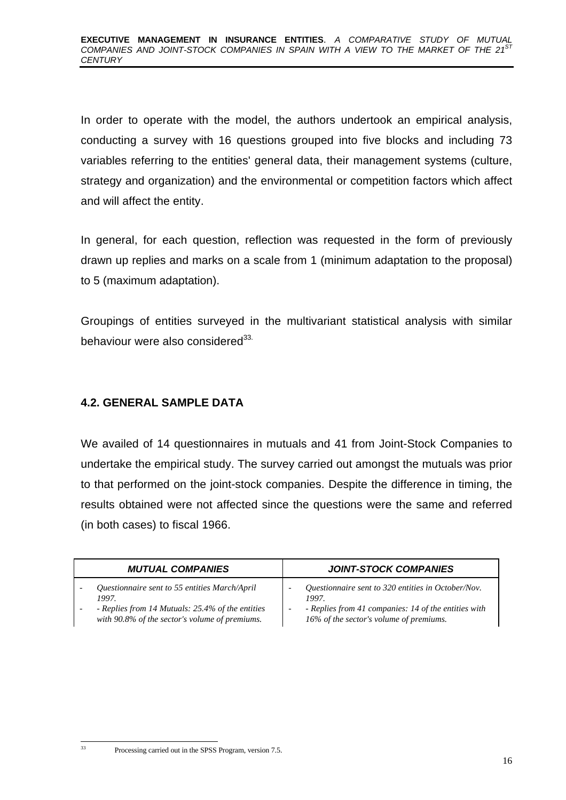In order to operate with the model, the authors undertook an empirical analysis, conducting a survey with 16 questions grouped into five blocks and including 73 variables referring to the entities' general data, their management systems (culture, strategy and organization) and the environmental or competition factors which affect and will affect the entity.

In general, for each question, reflection was requested in the form of previously drawn up replies and marks on a scale from 1 (minimum adaptation to the proposal) to 5 (maximum adaptation).

Groupings of entities surveyed in the multivariant statistical analysis with similar behaviour were also considered<sup>33.</sup>

# **4.2. GENERAL SAMPLE DATA**

We availed of 14 questionnaires in mutuals and 41 from Joint-Stock Companies to undertake the empirical study. The survey carried out amongst the mutuals was prior to that performed on the joint-stock companies. Despite the difference in timing, the results obtained were not affected since the questions were the same and referred (in both cases) to fiscal 1966.

| <b>MUTUAL COMPANIES</b>                          | <b>JOINT-STOCK COMPANIES</b>                         |
|--------------------------------------------------|------------------------------------------------------|
| Questionnaire sent to 55 entities March/April    | Questionnaire sent to 320 entities in October/Nov.   |
| 1997.                                            | 1997.                                                |
| - Replies from 14 Mutuals: 25.4% of the entities | - Replies from 41 companies: 14 of the entities with |
| with 90.8% of the sector's volume of premiums.   | 16% of the sector's volume of premiums.              |

Processing carried out in the SPSS Program, version 7.5.

 $33$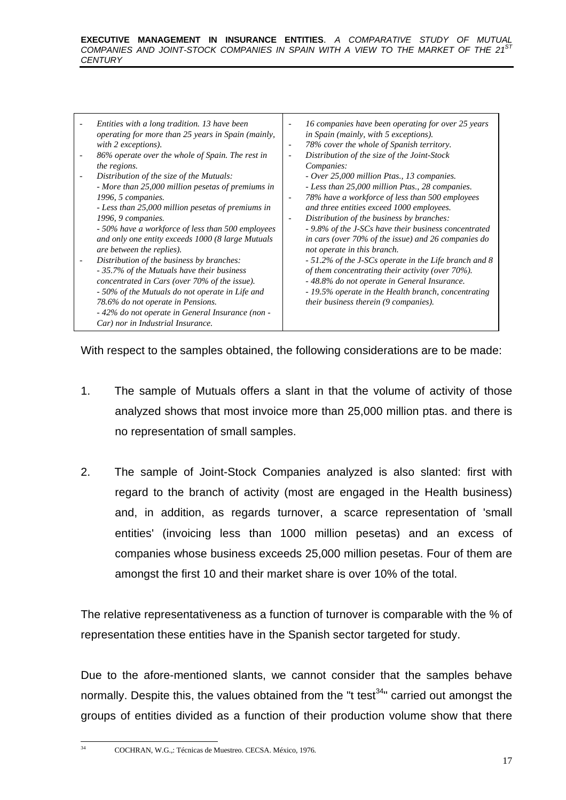#### **EXECUTIVE MANAGEMENT IN INSURANCE ENTITIES**. *A COMPARATIVE STUDY OF MUTUAL* COMPANIES AND JOINT-STOCK COMPANIES IN SPAIN WITH A VIEW TO THE MARKET OF THE 21<sup>S</sup> *CENTURY*

| Entities with a long tradition. 13 have been       | 16 companies have been operating for over 25 years    |
|----------------------------------------------------|-------------------------------------------------------|
| operating for more than 25 years in Spain (mainly, | in Spain (mainly, with 5 exceptions).                 |
| with 2 exceptions).                                | 78% cover the whole of Spanish territory.             |
| 86% operate over the whole of Spain. The rest in   | $\overline{\phantom{a}}$                              |
| the regions.                                       | Distribution of the size of the Joint-Stock           |
| Distribution of the size of the Mutuals:           | Companies:                                            |
| - More than 25,000 million pesetas of premiums in  | - Over 25,000 million Ptas., 13 companies.            |
| 1996, 5 companies.                                 | - Less than 25,000 million Ptas., 28 companies.       |
| - Less than 25,000 million pesetas of premiums in  | 78% have a workforce of less than 500 employees       |
| 1996, 9 companies.                                 | and three entities exceed 1000 employees.             |
| - 50% have a workforce of less than 500 employees  | Distribution of the business by branches:             |
| and only one entity exceeds 1000 (8 large Mutuals  | $\overline{\phantom{a}}$                              |
| are between the replies).                          | - 9.8% of the J-SCs have their business concentrated  |
| Distribution of the business by branches:          | in cars (over 70% of the issue) and 26 companies do   |
| - 35.7% of the Mutuals have their business         | not operate in this branch.                           |
| concentrated in Cars (over 70% of the issue).      | - 51.2% of the J-SCs operate in the Life branch and 8 |
| - 50% of the Mutuals do not operate in Life and    | of them concentrating their activity (over $70\%$ ).  |
| 78.6% do not operate in Pensions.                  | - 48.8% do not operate in General Insurance.          |
| - 42% do not operate in General Insurance (non -   | - 19.5% operate in the Health branch, concentrating   |
| Car) nor in Industrial Insurance.                  | their business therein (9 companies).                 |

With respect to the samples obtained, the following considerations are to be made:

- 1. The sample of Mutuals offers a slant in that the volume of activity of those analyzed shows that most invoice more than 25,000 million ptas. and there is no representation of small samples.
- 2. The sample of Joint-Stock Companies analyzed is also slanted: first with regard to the branch of activity (most are engaged in the Health business) and, in addition, as regards turnover, a scarce representation of 'small entities' (invoicing less than 1000 million pesetas) and an excess of companies whose business exceeds 25,000 million pesetas. Four of them are amongst the first 10 and their market share is over 10% of the total.

The relative representativeness as a function of turnover is comparable with the % of representation these entities have in the Spanish sector targeted for study.

Due to the afore-mentioned slants, we cannot consider that the samples behave normally. Despite this, the values obtained from the "t test $34"$  carried out amongst the groups of entities divided as a function of their production volume show that there

-

<sup>34</sup> COCHRAN, W.G.,: Técnicas de Muestreo. CECSA. México, 1976.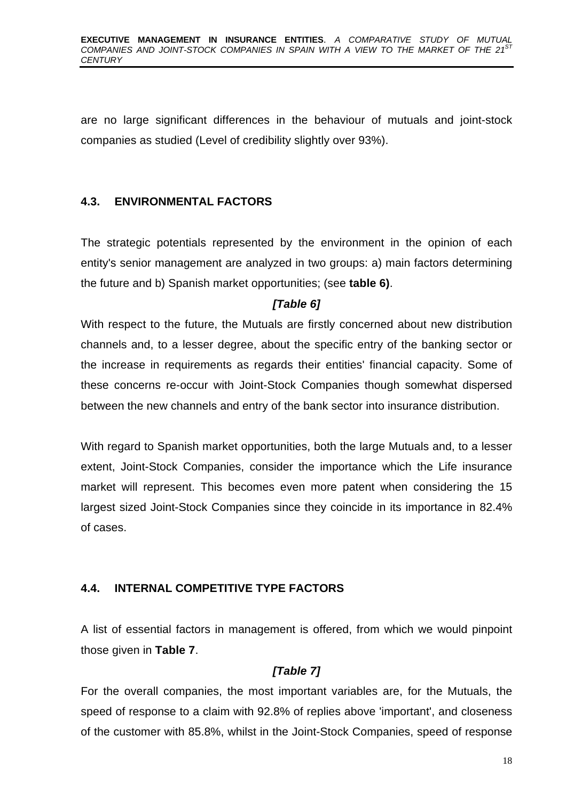are no large significant differences in the behaviour of mutuals and joint-stock companies as studied (Level of credibility slightly over 93%).

## **4.3. ENVIRONMENTAL FACTORS**

The strategic potentials represented by the environment in the opinion of each entity's senior management are analyzed in two groups: a) main factors determining the future and b) Spanish market opportunities; (see **table 6)**.

# *[Table 6]*

With respect to the future, the Mutuals are firstly concerned about new distribution channels and, to a lesser degree, about the specific entry of the banking sector or the increase in requirements as regards their entities' financial capacity. Some of these concerns re-occur with Joint-Stock Companies though somewhat dispersed between the new channels and entry of the bank sector into insurance distribution.

With regard to Spanish market opportunities, both the large Mutuals and, to a lesser extent, Joint-Stock Companies, consider the importance which the Life insurance market will represent. This becomes even more patent when considering the 15 largest sized Joint-Stock Companies since they coincide in its importance in 82.4% of cases.

# **4.4. INTERNAL COMPETITIVE TYPE FACTORS**

A list of essential factors in management is offered, from which we would pinpoint those given in **Table 7**.

# *[Table 7]*

For the overall companies, the most important variables are, for the Mutuals, the speed of response to a claim with 92.8% of replies above 'important', and closeness of the customer with 85.8%, whilst in the Joint-Stock Companies, speed of response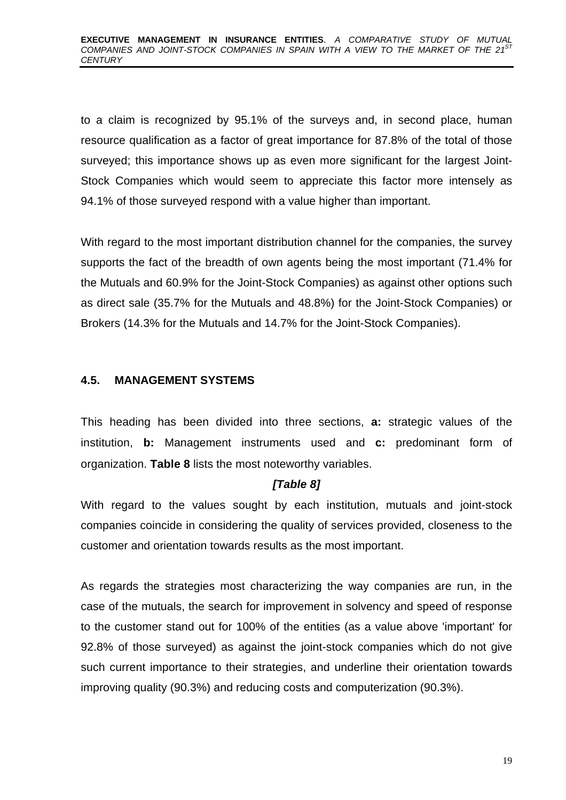to a claim is recognized by 95.1% of the surveys and, in second place, human resource qualification as a factor of great importance for 87.8% of the total of those surveyed; this importance shows up as even more significant for the largest Joint-Stock Companies which would seem to appreciate this factor more intensely as 94.1% of those surveyed respond with a value higher than important.

With regard to the most important distribution channel for the companies, the survey supports the fact of the breadth of own agents being the most important (71.4% for the Mutuals and 60.9% for the Joint-Stock Companies) as against other options such as direct sale (35.7% for the Mutuals and 48.8%) for the Joint-Stock Companies) or Brokers (14.3% for the Mutuals and 14.7% for the Joint-Stock Companies).

#### **4.5. MANAGEMENT SYSTEMS**

This heading has been divided into three sections, **a:** strategic values of the institution, **b:** Management instruments used and **c:** predominant form of organization. **Table 8** lists the most noteworthy variables.

#### *[Table 8]*

With regard to the values sought by each institution, mutuals and joint-stock companies coincide in considering the quality of services provided, closeness to the customer and orientation towards results as the most important.

As regards the strategies most characterizing the way companies are run, in the case of the mutuals, the search for improvement in solvency and speed of response to the customer stand out for 100% of the entities (as a value above 'important' for 92.8% of those surveyed) as against the joint-stock companies which do not give such current importance to their strategies, and underline their orientation towards improving quality (90.3%) and reducing costs and computerization (90.3%).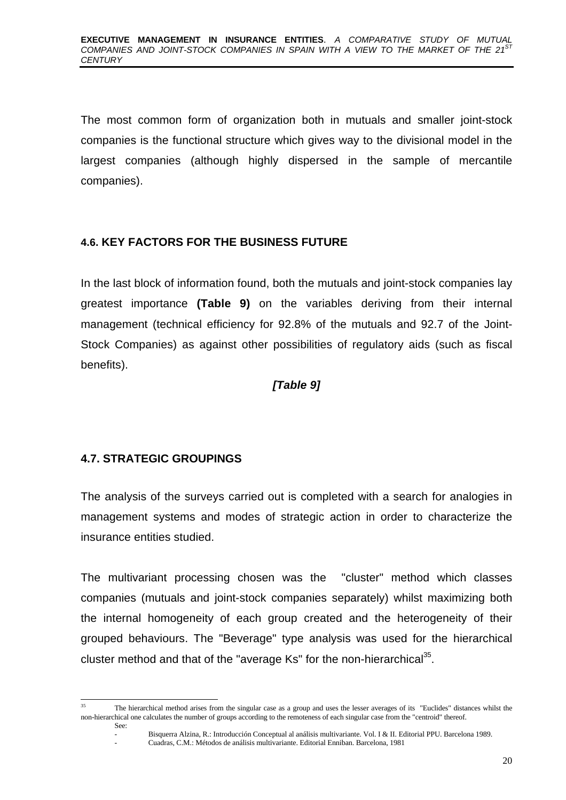The most common form of organization both in mutuals and smaller joint-stock companies is the functional structure which gives way to the divisional model in the largest companies (although highly dispersed in the sample of mercantile companies).

## **4.6. KEY FACTORS FOR THE BUSINESS FUTURE**

In the last block of information found, both the mutuals and joint-stock companies lay greatest importance **(Table 9)** on the variables deriving from their internal management (technical efficiency for 92.8% of the mutuals and 92.7 of the Joint-Stock Companies) as against other possibilities of regulatory aids (such as fiscal benefits).

## *[Table 9]*

# **4.7. STRATEGIC GROUPINGS**

The analysis of the surveys carried out is completed with a search for analogies in management systems and modes of strategic action in order to characterize the insurance entities studied.

The multivariant processing chosen was the "cluster" method which classes companies (mutuals and joint-stock companies separately) whilst maximizing both the internal homogeneity of each group created and the heterogeneity of their grouped behaviours. The "Beverage" type analysis was used for the hierarchical cluster method and that of the "average Ks" for the non-hierarchical $^{35}$ .

<sup>-</sup><sup>35</sup> The hierarchical method arises from the singular case as a group and uses the lesser averages of its "Euclides" distances whilst the non-hierarchical one calculates the number of groups according to the remoteness of each singular case from the "centroid" thereof.

See:

<sup>-</sup> Bisquerra Alzina, R.: Introducción Conceptual al análisis multivariante. Vol. I & II. Editorial PPU. Barcelona 1989.

<sup>-</sup> Cuadras, C.M.: Métodos de análisis multivariante. Editorial Enniban. Barcelona, 1981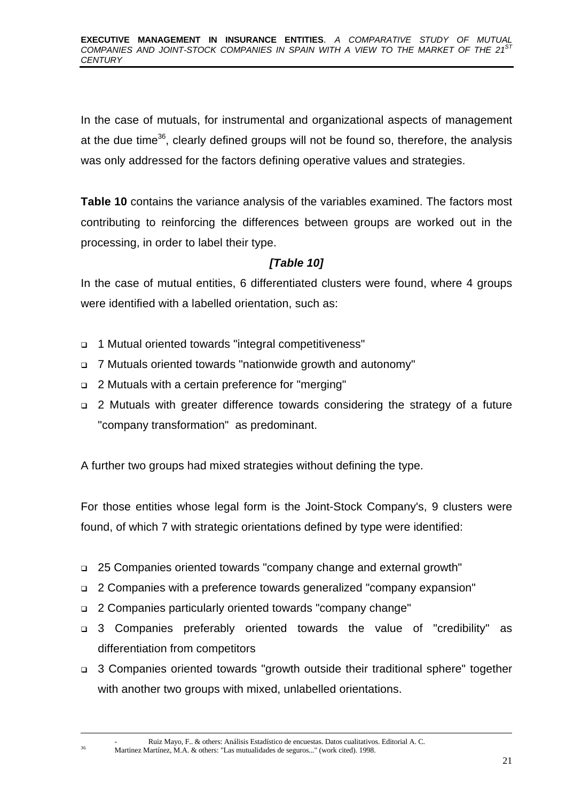In the case of mutuals, for instrumental and organizational aspects of management at the due time<sup>36</sup>, clearly defined groups will not be found so, therefore, the analysis was only addressed for the factors defining operative values and strategies.

**Table 10** contains the variance analysis of the variables examined. The factors most contributing to reinforcing the differences between groups are worked out in the processing, in order to label their type.

# *[Table 10]*

In the case of mutual entities, 6 differentiated clusters were found, where 4 groups were identified with a labelled orientation, such as:

- <sup>q</sup> 1 Mutual oriented towards "integral competitiveness"
- <sup>q</sup> 7 Mutuals oriented towards "nationwide growth and autonomy"
- <sup>q</sup> 2 Mutuals with a certain preference for "merging"
- <sup>q</sup> 2 Mutuals with greater difference towards considering the strategy of a future "company transformation" as predominant.

A further two groups had mixed strategies without defining the type.

For those entities whose legal form is the Joint-Stock Company's, 9 clusters were found, of which 7 with strategic orientations defined by type were identified:

- <sup>q</sup> 25 Companies oriented towards "company change and external growth"
- <sup>q</sup> 2 Companies with a preference towards generalized "company expansion"
- <sup>q</sup> 2 Companies particularly oriented towards "company change"

-

- <sup>q</sup> 3 Companies preferably oriented towards the value of "credibility" as differentiation from competitors
- <sup>q</sup> 3 Companies oriented towards "growth outside their traditional sphere" together with another two groups with mixed, unlabelled orientations.

- Ruiz Mayo, F.. & others: Análisis Estadístico de encuestas. Datos cualitativos. Editorial A. C. <sup>36</sup> Martinez Martínez, M.A. & others: "Las mutualidades de seguros..." (work cited). 1998.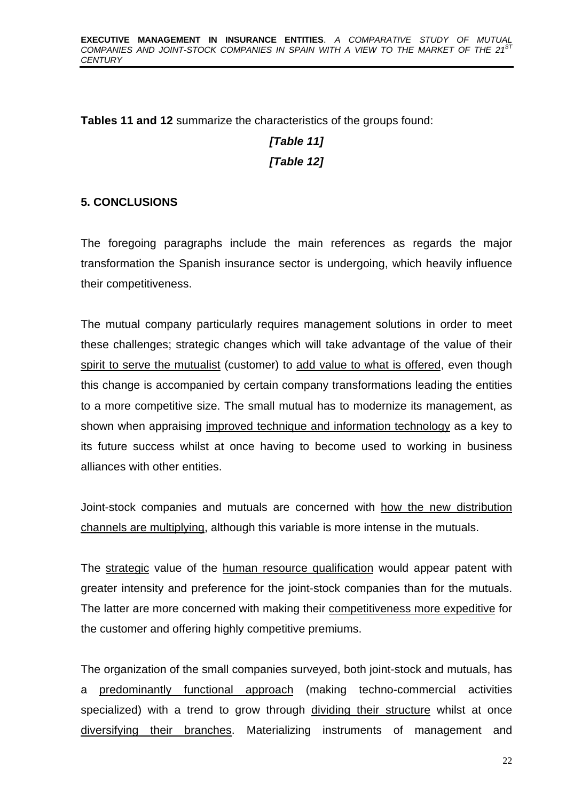**Tables 11 and 12** summarize the characteristics of the groups found:

# *[Table 11] [Table 12]*

# **5. CONCLUSIONS**

The foregoing paragraphs include the main references as regards the major transformation the Spanish insurance sector is undergoing, which heavily influence their competitiveness.

The mutual company particularly requires management solutions in order to meet these challenges; strategic changes which will take advantage of the value of their spirit to serve the mutualist (customer) to add value to what is offered, even though this change is accompanied by certain company transformations leading the entities to a more competitive size. The small mutual has to modernize its management, as shown when appraising improved technique and information technology as a key to its future success whilst at once having to become used to working in business alliances with other entities.

Joint-stock companies and mutuals are concerned with how the new distribution channels are multiplying, although this variable is more intense in the mutuals.

The strategic value of the human resource qualification would appear patent with greater intensity and preference for the joint-stock companies than for the mutuals. The latter are more concerned with making their competitiveness more expeditive for the customer and offering highly competitive premiums.

The organization of the small companies surveyed, both joint-stock and mutuals, has a predominantly functional approach (making techno-commercial activities specialized) with a trend to grow through dividing their structure whilst at once diversifying their branches. Materializing instruments of management and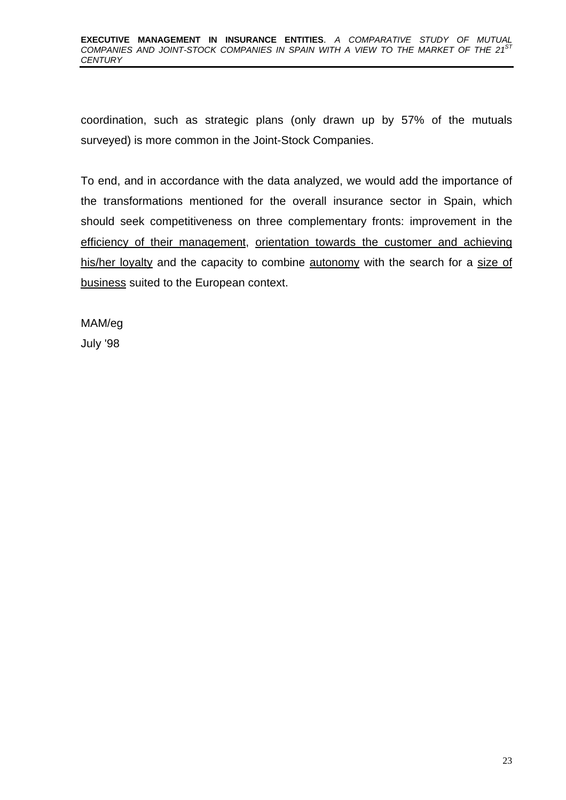#### **EXECUTIVE MANAGEMENT IN INSURANCE ENTITIES**. *A COMPARATIVE STUDY OF MUTUAL COMPANIES AND JOINT-STOCK COMPANIES IN SPAIN WITH A VIEW TO THE MARKET OF THE 21ST CENTURY*

coordination, such as strategic plans (only drawn up by 57% of the mutuals surveyed) is more common in the Joint-Stock Companies.

To end, and in accordance with the data analyzed, we would add the importance of the transformations mentioned for the overall insurance sector in Spain, which should seek competitiveness on three complementary fronts: improvement in the efficiency of their management, orientation towards the customer and achieving his/her loyalty and the capacity to combine autonomy with the search for a size of business suited to the European context.

MAM/eg July '98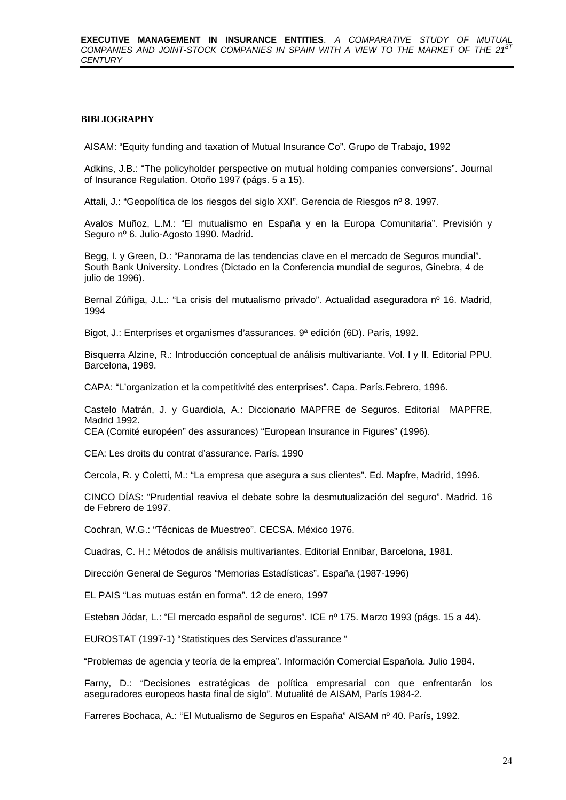#### **BIBLIOGRAPHY**

AISAM: "Equity funding and taxation of Mutual Insurance Co". Grupo de Trabajo, 1992

Adkins, J.B.: "The policyholder perspective on mutual holding companies conversions". Journal of Insurance Regulation. Otoño 1997 (págs. 5 a 15).

Attali, J.: "Geopolítica de los riesgos del siglo XXI". Gerencia de Riesgos nº 8. 1997.

Avalos Muñoz, L.M.: "El mutualismo en España y en la Europa Comunitaria". Previsión y Seguro nº 6. Julio-Agosto 1990. Madrid.

Begg, I. y Green, D.: "Panorama de las tendencias clave en el mercado de Seguros mundial". South Bank University. Londres (Dictado en la Conferencia mundial de seguros, Ginebra, 4 de julio de 1996).

Bernal Zúñiga, J.L.: "La crisis del mutualismo privado". Actualidad aseguradora nº 16. Madrid, 1994

Bigot, J.: Enterprises et organismes d'assurances. 9ª edición (6D). París, 1992.

Bisquerra Alzine, R.: Introducción conceptual de análisis multivariante. Vol. I y II. Editorial PPU. Barcelona, 1989.

CAPA: "L'organization et la competitivité des enterprises". Capa. París.Febrero, 1996.

Castelo Matrán, J. y Guardiola, A.: Diccionario MAPFRE de Seguros. Editorial MAPFRE, Madrid 1992.

CEA (Comité européen" des assurances) "European Insurance in Figures" (1996).

CEA: Les droits du contrat d'assurance. París. 1990

Cercola, R. y Coletti, M.: "La empresa que asegura a sus clientes". Ed. Mapfre, Madrid, 1996.

CINCO DÍAS: "Prudential reaviva el debate sobre la desmutualización del seguro". Madrid. 16 de Febrero de 1997.

Cochran, W.G.: "Técnicas de Muestreo". CECSA. México 1976.

Cuadras, C. H.: Métodos de análisis multivariantes. Editorial Ennibar, Barcelona, 1981.

Dirección General de Seguros "Memorias Estadísticas". España (1987-1996)

EL PAIS "Las mutuas están en forma". 12 de enero, 1997

Esteban Jódar, L.: "El mercado español de seguros". ICE nº 175. Marzo 1993 (págs. 15 a 44).

EUROSTAT (1997-1) "Statistiques des Services d'assurance "

: "Problemas de agencia y teoría de la emprea". Información Comercial Española. Julio 1984.

Farny, D.: "Decisiones estratégicas de política empresarial con que enfrentarán los aseguradores europeos hasta final de siglo". Mutualité de AISAM, París 1984-2.

Farreres Bochaca, A.: "El Mutualismo de Seguros en España" AISAM nº 40. París, 1992.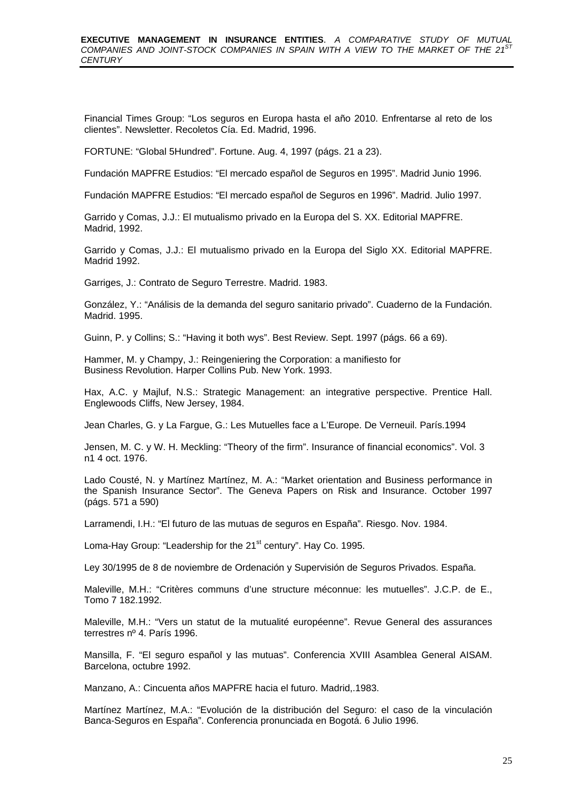Financial Times Group: "Los seguros en Europa hasta el año 2010. Enfrentarse al reto de los clientes". Newsletter. Recoletos Cía. Ed. Madrid, 1996.

FORTUNE: "Global 5Hundred". Fortune. Aug. 4, 1997 (págs. 21 a 23).

Fundación MAPFRE Estudios: "El mercado español de Seguros en 1995". Madrid Junio 1996.

Fundación MAPFRE Estudios: "El mercado español de Seguros en 1996". Madrid. Julio 1997.

Garrido y Comas, J.J.: El mutualismo privado en la Europa del S. XX. Editorial MAPFRE. Madrid, 1992.

Garrido y Comas, J.J.: El mutualismo privado en la Europa del Siglo XX. Editorial MAPFRE. Madrid 1992.

Garriges, J.: Contrato de Seguro Terrestre. Madrid. 1983.

González, Y.: "Análisis de la demanda del seguro sanitario privado". Cuaderno de la Fundación. Madrid. 1995.

Guinn, P. y Collins; S.: "Having it both wys". Best Review. Sept. 1997 (págs. 66 a 69).

Hammer, M. y Champy, J.: Reingeniering the Corporation: a manifiesto for Business Revolution. Harper Collins Pub. New York. 1993.

Hax, A.C. y Majluf, N.S.: Strategic Management: an integrative perspective. Prentice Hall. Englewoods Cliffs, New Jersey, 1984.

Jean Charles, G. y La Fargue, G.: Les Mutuelles face a L'Europe. De Verneuil. París.1994

Jensen, M. C. y W. H. Meckling: "Theory of the firm". Insurance of financial economics". Vol. 3 n1 4 oct. 1976.

Lado Cousté, N. y Martínez Martínez, M. A.: "Market orientation and Business performance in the Spanish Insurance Sector". The Geneva Papers on Risk and Insurance. October 1997 (págs. 571 a 590)

Larramendi, I.H.: "El futuro de las mutuas de seguros en España". Riesgo. Nov. 1984.

Loma-Hay Group: "Leadership for the 21<sup>st</sup> century". Hay Co. 1995.

Ley 30/1995 de 8 de noviembre de Ordenación y Supervisión de Seguros Privados. España.

Maleville, M.H.: "Critères communs d'une structure méconnue: les mutuelles". J.C.P. de E., Tomo 7 182.1992.

Maleville, M.H.: "Vers un statut de la mutualité européenne". Revue General des assurances terrestres nº 4. París 1996.

Mansilla, F. "El seguro español y las mutuas". Conferencia XVIII Asamblea General AISAM. Barcelona, octubre 1992.

Manzano, A.: Cincuenta años MAPFRE hacia el futuro. Madrid,.1983.

Martínez Martínez, M.A.: "Evolución de la distribución del Seguro: el caso de la vinculación Banca-Seguros en España". Conferencia pronunciada en Bogotá. 6 Julio 1996.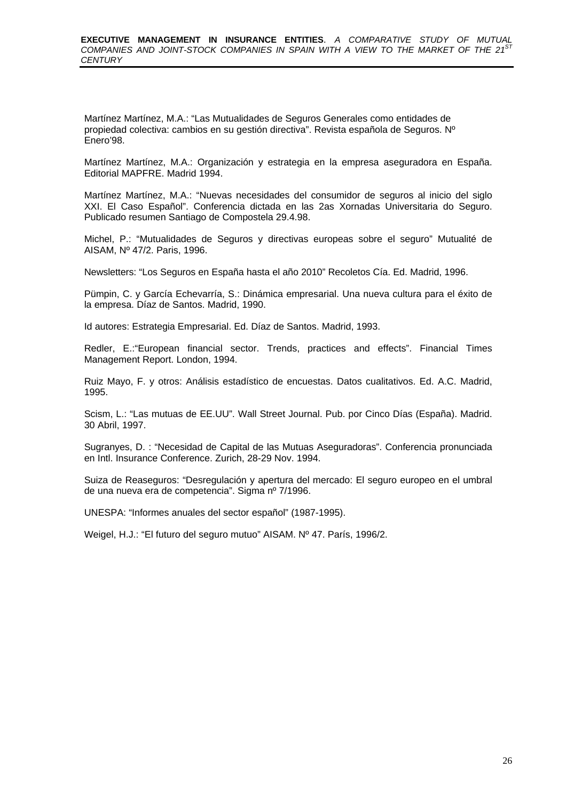Martínez Martínez, M.A.: "Las Mutualidades de Seguros Generales como entidades de propiedad colectiva: cambios en su gestión directiva". Revista española de Seguros. Nº Enero'98.

Martínez Martínez, M.A.: Organización y estrategia en la empresa aseguradora en España. Editorial MAPFRE. Madrid 1994.

Martínez Martínez, M.A.: "Nuevas necesidades del consumidor de seguros al inicio del siglo XXI. El Caso Español". Conferencia dictada en las 2as Xornadas Universitaria do Seguro. Publicado resumen Santiago de Compostela 29.4.98.

Michel, P.: "Mutualidades de Seguros y directivas europeas sobre el seguro" Mutualité de AISAM, Nº 47/2. Paris, 1996.

Newsletters: "Los Seguros en España hasta el año 2010" Recoletos Cía. Ed. Madrid, 1996.

Pümpin, C. y García Echevarría, S.: Dinámica empresarial. Una nueva cultura para el éxito de la empresa. Díaz de Santos. Madrid, 1990.

Id autores: Estrategia Empresarial. Ed. Díaz de Santos. Madrid, 1993.

Redler, E.:"European financial sector. Trends, practices and effects". Financial Times Management Report. London, 1994.

Ruiz Mayo, F. y otros: Análisis estadístico de encuestas. Datos cualitativos. Ed. A.C. Madrid, 1995.

Scism, L.: "Las mutuas de EE.UU". Wall Street Journal. Pub. por Cinco Días (España). Madrid. 30 Abril, 1997.

Sugranyes, D. : "Necesidad de Capital de las Mutuas Aseguradoras". Conferencia pronunciada en Intl. Insurance Conference. Zurich, 28-29 Nov. 1994.

Suiza de Reaseguros: "Desregulación y apertura del mercado: El seguro europeo en el umbral de una nueva era de competencia". Sigma nº 7/1996.

UNESPA: "Informes anuales del sector español" (1987-1995).

Weigel, H.J.: "El futuro del seguro mutuo" AISAM. Nº 47. París, 1996/2.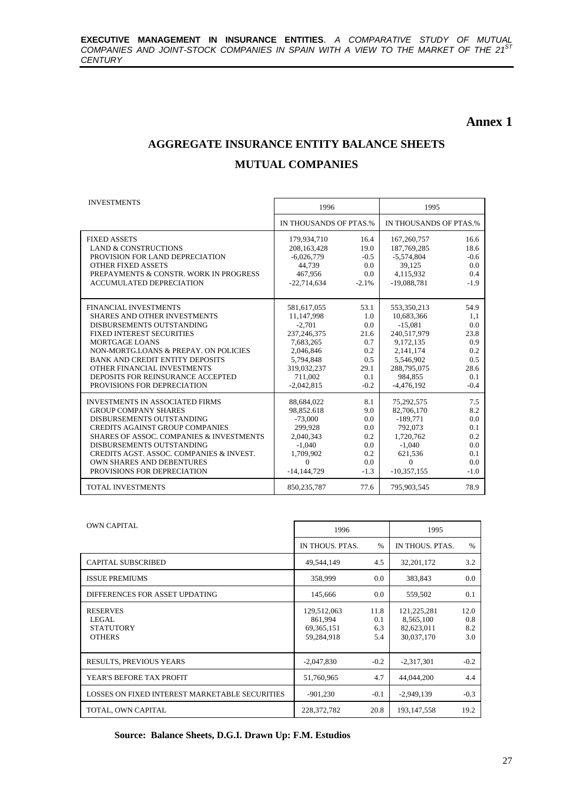#### **Annex 1**

# **AGGREGATE INSURANCE ENTITY BALANCE SHEETS MUTUAL COMPANIES**

| <b>INVESTMENTS</b>                                  | 1996                   |          | 1995                   |        |
|-----------------------------------------------------|------------------------|----------|------------------------|--------|
|                                                     | IN THOUSANDS OF PTAS.% |          | IN THOUSANDS OF PTAS.% |        |
| <b>FIXED ASSETS</b>                                 | 179,934,710            | 16.4     | 167,260,757            | 16.6   |
| <b>LAND &amp; CONSTRUCTIONS</b>                     | 208,163,428            | 19.0     | 187,769,285            | 18.6   |
| PROVISION FOR LAND DEPRECIATION                     | $-6,026,779$           | $-0.5$   | -5,574,804             | $-0.6$ |
| <b>OTHER FIXED ASSETS</b>                           | 44,739                 | 0.0      | 39,125                 | 0.0    |
| PREPAYMENTS & CONSTR. WORK IN PROGRESS              | 467.956                | 0.0      | 4,115,932              | 0.4    |
| <b>ACCUMULATED DEPRECIATION</b>                     | $-22,714,634$          | $-2.1\%$ | $-19,088,781$          | $-1.9$ |
|                                                     |                        |          |                        |        |
| <b>FINANCIAL INVESTMENTS</b>                        | 581,617,055            | 53.1     | 553,350,213            | 54.9   |
| <b>SHARES AND OTHER INVESTMENTS</b>                 | 11,147,998             | 1.0      | 10,683,366             | 1.1    |
| DISBURSEMENTS OUTSTANDING                           | $-2,701$               | 0.0      | $-15,081$              | 0.0    |
| <b>FIXED INTEREST SECURITIES</b>                    | 237, 246, 375          | 21.6     | 240.517.979            | 23.8   |
| <b>MORTGAGE LOANS</b>                               | 7,683,265              | 0.7      | 9,172,135              | 0.9    |
| NON-MORTGLOANS & PREPAY, ON POLICIES                | 2,046,846              | 0.2      | 2,141,174              | 0.2    |
| <b>BANK AND CREDIT ENTITY DEPOSITS</b>              | 5.794.848              | 0.5      | 5.546.902              | 0.5    |
| OTHER FINANCIAL INVESTMENTS                         | 319,032,237            | 29.1     | 288,795,075            | 28.6   |
| DEPOSITS FOR REINSURANCE ACCEPTED                   | 711.002                | 0.1      | 984.855                | 0.1    |
| PROVISIONS FOR DEPRECIATION                         | $-2,042,815$           | $-0.2$   | $-4,476,192$           | $-0.4$ |
| <b>INVESTMENTS IN ASSOCIATED FIRMS</b>              | 88,684,022             | 8.1      | 75,292,575             | 7.5    |
| <b>GROUP COMPANY SHARES</b>                         | 98,852.618             | 9.0      | 82,706,170             | 8.2    |
| DISBURSEMENTS OUTSTANDING                           | $-73,000$              | 0.0      | $-189,771$             | 0.0    |
| <b>CREDITS AGAINST GROUP COMPANIES</b>              | 299,928                | $0.0\,$  | 792,073                | 0.1    |
| <b>SHARES OF ASSOC. COMPANIES &amp; INVESTMENTS</b> | 2,040,343              | 0.2      | 1,720,762              | 0.2    |
| DISBURSEMENTS OUTSTANDING                           | $-1.040$               | 0.0      | $-1.040$               | 0.0    |
| CREDITS AGST. ASSOC. COMPANIES & INVEST.            | 1,709,902              | 0.2      | 621,536                | 0.1    |
| <b>OWN SHARES AND DEBENTURES</b>                    | $\Omega$               | 0.0      | $\Omega$               | 0.0    |
| PROVISIONS FOR DEPRECIATION                         | $-14,144,729$          | $-1.3$   | $-10,357,155$          | $-1.0$ |
| <b>TOTAL INVESTMENTS</b>                            | 850, 235, 787          | 77.6     | 795,903,545            | 78.9   |

| <b>OWN CAPITAL</b>                                                   | 1996                                                 |                           | 1995                                                   |                           |
|----------------------------------------------------------------------|------------------------------------------------------|---------------------------|--------------------------------------------------------|---------------------------|
|                                                                      | IN THOUS, PTAS.                                      | $\%$                      | IN THOUS, PTAS.                                        | $\%$                      |
| <b>CAPITAL SUBSCRIBED</b>                                            | 49,544,149                                           | 4.5                       | 32, 201, 172                                           | 3.2                       |
| <b>ISSUE PREMIUMS</b>                                                | 358,999                                              | 0.0                       | 383,843                                                | 0.0                       |
| DIFFERENCES FOR ASSET UPDATING                                       | 145,666                                              | 0.0                       | 559,502                                                | 0.1                       |
| <b>RESERVES</b><br><b>LEGAL</b><br><b>STATUTORY</b><br><b>OTHERS</b> | 129,512,063<br>861.994<br>69, 365, 151<br>59,284,918 | 11.8<br>0.1<br>6.3<br>5.4 | 121, 225, 281<br>8,565,100<br>82,623,011<br>30,037,170 | 12.0<br>0.8<br>8.2<br>3.0 |
| <b>RESULTS, PREVIOUS YEARS</b>                                       | $-2,047,830$                                         | $-0.2$                    | $-2,317,301$                                           | $-0.2$                    |
| YEAR'S BEFORE TAX PROFIT                                             | 51,760,965                                           | 4.7                       | 44,044,200                                             | 4.4                       |
| LOSSES ON FIXED INTEREST MARKETABLE SECURITIES                       | $-901,230$                                           | $-0.1$                    | $-2,949,139$                                           | $-0.3$                    |
| TOTAL, OWN CAPITAL                                                   | 228, 372, 782                                        | 20.8                      | 193, 147, 558                                          | 19.2                      |

**Source: Balance Sheets, D.G.I. Drawn Up: F.M. Estudios**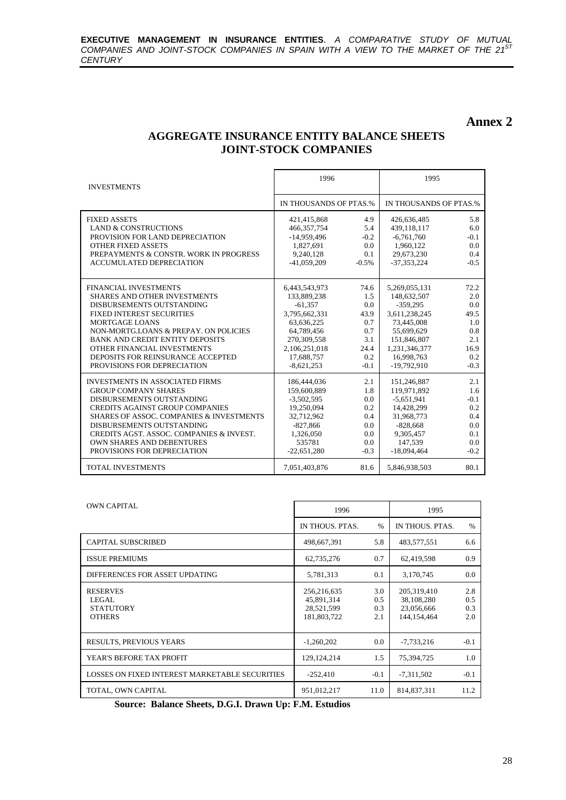#### **Annex 2**

#### **AGGREGATE INSURANCE ENTITY BALANCE SHEETS JOINT-STOCK COMPANIES**

| <b>INVESTMENTS</b>                                                                                     | 1996                                    |                      | 1995                                    |                      |
|--------------------------------------------------------------------------------------------------------|-----------------------------------------|----------------------|-----------------------------------------|----------------------|
|                                                                                                        | IN THOUSANDS OF PTAS.%                  |                      | IN THOUSANDS OF PTAS.%                  |                      |
| <b>FIXED ASSETS</b><br><b>LAND &amp; CONSTRUCTIONS</b>                                                 | 421.415.868<br>466, 357, 754            | 4.9<br>5.4           | 426,636,485<br>439,118,117              | 5.8<br>6.0           |
| PROVISION FOR LAND DEPRECIATION<br><b>OTHER FIXED ASSETS</b><br>PREPAYMENTS & CONSTR. WORK IN PROGRESS | $-14,959,496$<br>1,827,691<br>9.240.128 | $-0.2$<br>0.0<br>0.1 | $-6,761,760$<br>1,960,122<br>29,673,230 | $-0.1$<br>0.0<br>0.4 |
| <b>ACCUMULATED DEPRECIATION</b>                                                                        | $-41,059,209$                           | $-0.5%$              | $-37,353,224$                           | $-0.5$               |
| <b>FINANCIAL INVESTMENTS</b>                                                                           | 6,443,543,973                           | 74.6                 | 5,269,055,131                           | 72.2                 |
| <b>SHARES AND OTHER INVESTMENTS</b><br>DISBURSEMENTS OUTSTANDING                                       | 133,889,238<br>$-61,357$                | 1.5<br>0.0           | 148,632,507<br>$-359.295$               | 2.0<br>0.0           |
| <b>FIXED INTEREST SECURITIES</b>                                                                       | 3.795.662.331                           | 43.9                 | 3,611,238,245                           | 49.5                 |
| <b>MORTGAGE LOANS</b>                                                                                  | 63,636,225                              | 0.7                  | 73,445,008                              | 1.0                  |
| NON-MORTG.LOANS & PREPAY. ON POLICIES<br><b>BANK AND CREDIT ENTITY DEPOSITS</b>                        | 64,789,456<br>270,309,558               | 0.7<br>3.1           | 55,699,629<br>151,846,807               | 0.8<br>2.1           |
| OTHER FINANCIAL INVESTMENTS                                                                            | 2,106,251,018                           | 24.4                 | 1,231,346,377                           | 16.9                 |
| DEPOSITS FOR REINSURANCE ACCEPTED                                                                      | 17,688,757                              | 0.2                  | 16,998,763                              | 0.2                  |
| PROVISIONS FOR DEPRECIATION                                                                            | $-8,621,253$                            | $-0.1$               | $-19,792,910$                           | $-0.3$               |
| <b>INVESTMENTS IN ASSOCIATED FIRMS</b>                                                                 | 186,444,036                             | 2.1                  | 151,246,887                             | 2.1                  |
| <b>GROUP COMPANY SHARES</b>                                                                            | 159,600,889                             | 1.8                  | 119,971,892                             | 1.6                  |
| DISBURSEMENTS OUTSTANDING<br><b>CREDITS AGAINST GROUP COMPANIES</b>                                    | $-3,502,595$<br>19,250,094              | 0.0<br>0.2           | $-5,651,941$<br>14,428,299              | $-0.1$<br>0.2        |
| <b>SHARES OF ASSOC. COMPANIES &amp; INVESTMENTS</b>                                                    | 32.712.962                              | 0.4                  | 31,968,773                              | 0.4                  |
| DISBURSEMENTS OUTSTANDING                                                                              | $-827,866$                              | 0.0                  | $-828,668$                              | 0.0                  |
| CREDITS AGST. ASSOC. COMPANIES & INVEST.                                                               | 1,326,050                               | 0.0                  | 9.305.457                               | 0.1                  |
| <b>OWN SHARES AND DEBENTURES</b>                                                                       | 535781                                  | 0.0                  | 147.539                                 | 0.0                  |
| PROVISIONS FOR DEPRECIATION                                                                            | $-22,651,280$                           | $-0.3$               | $-18,094,464$                           | $-0.2$               |
| <b>TOTAL INVESTMENTS</b>                                                                               | 7,051,403,876                           | 81.6                 | 5,846,938,503                           | 80.1                 |

| <b>OWN CAPITAL</b>                                             | 1996                                                   |                          | 1995                                                       |                          |
|----------------------------------------------------------------|--------------------------------------------------------|--------------------------|------------------------------------------------------------|--------------------------|
|                                                                | IN THOUS, PTAS.                                        | $\%$                     | IN THOUS, PTAS.                                            | $\%$                     |
| <b>CAPITAL SUBSCRIBED</b>                                      | 498,667,391                                            | 5.8                      | 483,577,551                                                | 6.6                      |
| <b>ISSUE PREMIUMS</b>                                          | 62,735,276                                             | 0.7                      | 62,419,598                                                 | 0.9                      |
| DIFFERENCES FOR ASSET UPDATING                                 | 5,781,313                                              | 0.1                      | 3,170,745                                                  | 0.0                      |
| <b>RESERVES</b><br>LEGAL.<br><b>STATUTORY</b><br><b>OTHERS</b> | 256,216,635<br>45,891,314<br>28,521,599<br>181,803,722 | 3.0<br>0.5<br>0.3<br>2.1 | 205, 319, 410<br>38,108,280<br>23,056,666<br>144, 154, 464 | 2.8<br>0.5<br>0.3<br>2.0 |
| <b>RESULTS, PREVIOUS YEARS</b>                                 | $-1,260,202$                                           | 0.0                      | $-7,733,216$                                               | $-0.1$                   |
| YEAR'S BEFORE TAX PROFIT                                       | 129, 124, 214                                          | 1.5                      | 75,394,725                                                 | 1.0                      |
| LOSSES ON FIXED INTEREST MARKETABLE SECURITIES                 | $-252,410$                                             | $-0.1$                   | $-7,311,502$                                               | $-0.1$                   |
| TOTAL, OWN CAPITAL                                             | 951,012,217                                            | 11.0                     | 814, 837, 311                                              | 11.2                     |

**Source: Balance Sheets, D.G.I. Drawn Up: F.M. Estudios**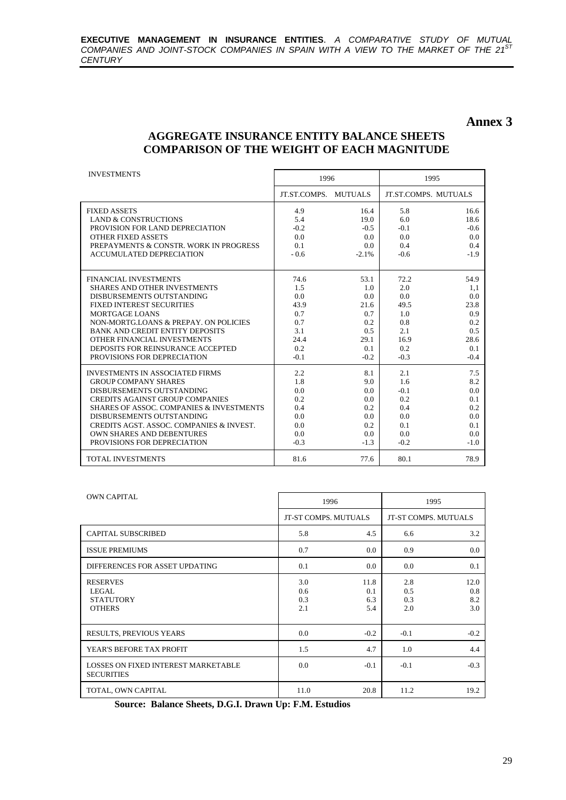#### **Annex 3**

#### **AGGREGATE INSURANCE ENTITY BALANCE SHEETS COMPARISON OF THE WEIGHT OF EACH MAGNITUDE**

| <b>INVESTMENTS</b>                                  | 1996         |                | 1995   |                             |
|-----------------------------------------------------|--------------|----------------|--------|-----------------------------|
|                                                     | JT.ST.COMPS. | <b>MUTUALS</b> |        | <b>JT.ST.COMPS. MUTUALS</b> |
| <b>FIXED ASSETS</b>                                 | 4.9          | 16.4           | 5.8    | 16.6                        |
| <b>LAND &amp; CONSTRUCTIONS</b>                     | 5.4          | 19.0           | 6.0    | 18.6                        |
| PROVISION FOR LAND DEPRECIATION                     | $-0.2$       | $-0.5$         | $-0.1$ | $-0.6$                      |
| <b>OTHER FIXED ASSETS</b>                           | 0.0          | 0.0            | 0.0    | 0.0                         |
| PREPAYMENTS & CONSTR. WORK IN PROGRESS              | 0.1          | 0.0            | 0.4    | 0.4                         |
| <b>ACCUMULATED DEPRECIATION</b>                     | $-0.6$       | $-2.1%$        | $-0.6$ | $-1.9$                      |
|                                                     |              |                |        |                             |
| <b>FINANCIAL INVESTMENTS</b>                        | 74.6         | 53.1           | 72.2   | 54.9                        |
| <b>SHARES AND OTHER INVESTMENTS</b>                 | 1.5          | 1.0            | 2.0    | 1,1                         |
| DISBURSEMENTS OUTSTANDING                           | 0.0          | 0.0            | 0.0    | 0.0                         |
| FIXED INTEREST SECURITIES                           | 43.9         | 21.6           | 49.5   | 23.8                        |
| MORTGAGE LOANS                                      | 0.7          | 0.7            | 1.0    | 0.9                         |
| NON-MORTGLOANS & PREPAY, ON POLICIES                | 0.7          | 0.2            | 0.8    | 0.2                         |
| <b>BANK AND CREDIT ENTITY DEPOSITS</b>              | 3.1          | 0.5            | 2.1    | 0.5                         |
| OTHER FINANCIAL INVESTMENTS                         | 24.4         | 29.1           | 16.9   | 28.6                        |
| DEPOSITS FOR REINSURANCE ACCEPTED                   | 0.2          | 0.1            | 0.2    | 0.1                         |
| PROVISIONS FOR DEPRECIATION                         | $-0.1$       | $-0.2$         | $-0.3$ | $-0.4$                      |
| <b>INVESTMENTS IN ASSOCIATED FIRMS</b>              | 2.2          | 8.1            | 2.1    | 7.5                         |
| <b>GROUP COMPANY SHARES</b>                         | 1.8          | 9.0            | 1.6    | 8.2                         |
| DISBURSEMENTS OUTSTANDING                           | 0.0          | 0.0            | $-0.1$ | 0.0                         |
| <b>CREDITS AGAINST GROUP COMPANIES</b>              | 0.2          | 0.0            | 0.2    | 0.1                         |
| <b>SHARES OF ASSOC. COMPANIES &amp; INVESTMENTS</b> | 0.4          | 0.2            | 0.4    | 0.2                         |
| DISBURSEMENTS OUTSTANDING                           | 0.0          | 0.0            | 0.0    | 0.0                         |
| CREDITS AGST. ASSOC. COMPANIES & INVEST.            | 0.0          | 0.2            | 0.1    | 0.1                         |
| <b>OWN SHARES AND DEBENTURES</b>                    | 0.0          | 0.0            | 0.0    | 0.0                         |
| PROVISIONS FOR DEPRECIATION                         | $-0.3$       | $-1.3$         | $-0.2$ | $-1.0$                      |
| <b>TOTAL INVESTMENTS</b>                            | 81.6         | 77.6           | 80.1   | 78.9                        |

| <b>OWN CAPITAL</b>                                              | 1996                     |                           |                          | 1995                      |
|-----------------------------------------------------------------|--------------------------|---------------------------|--------------------------|---------------------------|
|                                                                 |                          |                           |                          |                           |
|                                                                 | JT-ST COMPS. MUTUALS     |                           |                          | JT-ST COMPS. MUTUALS      |
| <b>CAPITAL SUBSCRIBED</b>                                       | 5.8                      | 4.5                       | 6.6                      | 3.2                       |
| <b>ISSUE PREMIUMS</b>                                           | 0.7                      | 0.0                       | 0.9                      | 0.0                       |
| DIFFERENCES FOR ASSET UPDATING                                  | 0.1                      | 0.0                       | 0.0                      | 0.1                       |
| <b>RESERVES</b><br>LEGAL.<br><b>STATUTORY</b><br><b>OTHERS</b>  | 3.0<br>0.6<br>0.3<br>2.1 | 11.8<br>0.1<br>6.3<br>5.4 | 2.8<br>0.5<br>0.3<br>2.0 | 12.0<br>0.8<br>8.2<br>3.0 |
| <b>RESULTS, PREVIOUS YEARS</b>                                  | 0.0                      | $-0.2$                    | $-0.1$                   | $-0.2$                    |
| YEAR'S BEFORE TAX PROFIT                                        | 1.5                      | 4.7                       | 1.0                      | 4.4                       |
| <b>LOSSES ON FIXED INTEREST MARKETABLE</b><br><b>SECURITIES</b> | 0.0                      | $-0.1$                    | $-0.1$                   | $-0.3$                    |
| TOTAL, OWN CAPITAL                                              | 11.0                     | 20.8                      | 11.2                     | 19.2                      |

**Source: Balance Sheets, D.G.I. Drawn Up: F.M. Estudios**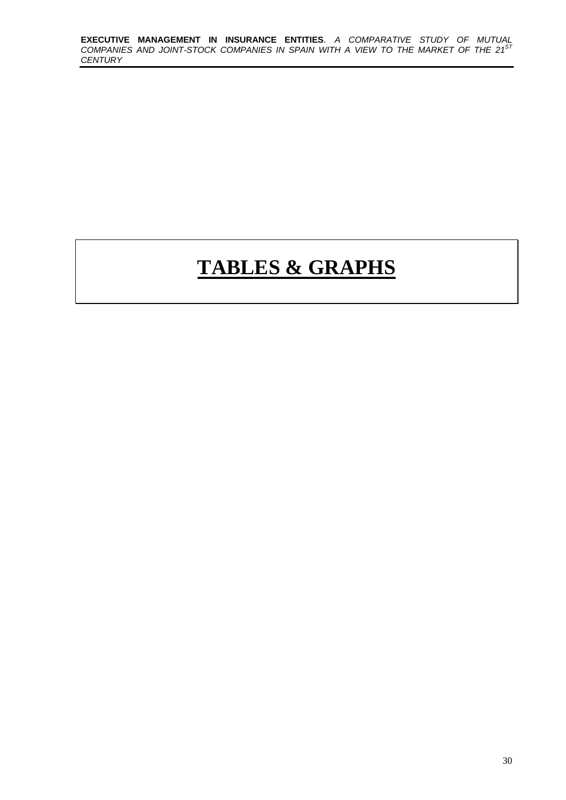# **TABLES & GRAPHS**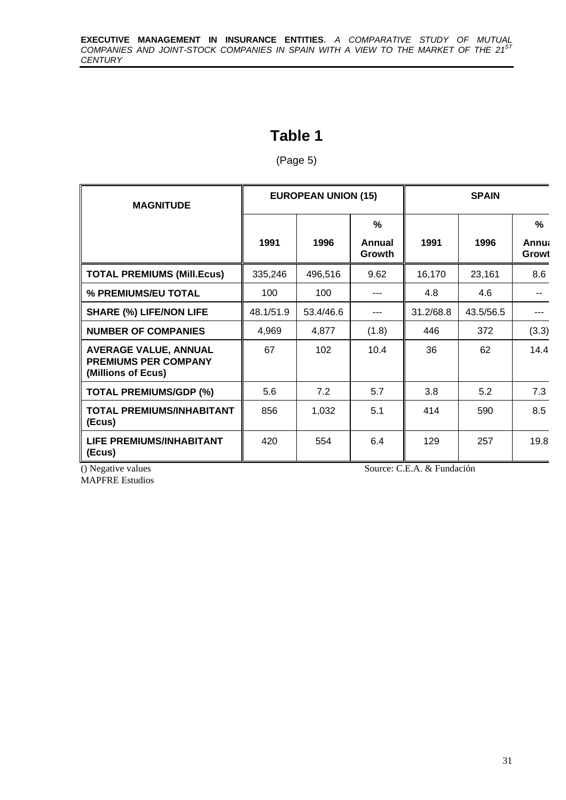# **Table 1**

(Page 5)

| <b>MAGNITUDE</b>                                                                  |           | <b>EUROPEAN UNION (15)</b> |             | <b>SPAIN</b> |           |                              |  |
|-----------------------------------------------------------------------------------|-----------|----------------------------|-------------|--------------|-----------|------------------------------|--|
|                                                                                   | 1991      | 1996                       | %<br>Annual | 1991         | 1996      | $\frac{0}{0}$<br><b>Annu</b> |  |
|                                                                                   |           |                            | Growth      |              |           | Growt                        |  |
| <b>TOTAL PREMIUMS (Mill.Ecus)</b>                                                 | 335,246   | 496,516                    | 9.62        | 16,170       | 23,161    | 8.6                          |  |
| % PREMIUMS/EU TOTAL                                                               | 100       | 100                        |             | 4.8          | 4.6       |                              |  |
| <b>SHARE (%) LIFE/NON LIFE</b>                                                    | 48.1/51.9 | 53.4/46.6                  | ---         | 31.2/68.8    | 43.5/56.5 |                              |  |
| <b>NUMBER OF COMPANIES</b>                                                        | 4,969     | 4,877                      | (1.8)       | 446          | 372       | (3.3)                        |  |
| <b>AVERAGE VALUE, ANNUAL</b><br><b>PREMIUMS PER COMPANY</b><br>(Millions of Ecus) | 67        | 102                        | 10.4        | 36           | 62        | 14.4                         |  |
| <b>TOTAL PREMIUMS/GDP (%)</b>                                                     | 5.6       | 7.2                        | 5.7         | 3.8          | 5.2       | 7.3                          |  |
| <b>TOTAL PREMIUMS/INHABITANT</b><br>(Ecus)                                        | 856       | 1,032                      | 5.1         | 414          | 590       | 8.5                          |  |
| <b>LIFE PREMIUMS/INHABITANT</b><br>(Ecus)                                         | 420       | 554                        | 6.4         | 129          | 257       | 19.8                         |  |

MAPFRE Estudios

() Negative values Source: C.E.A. & Fundación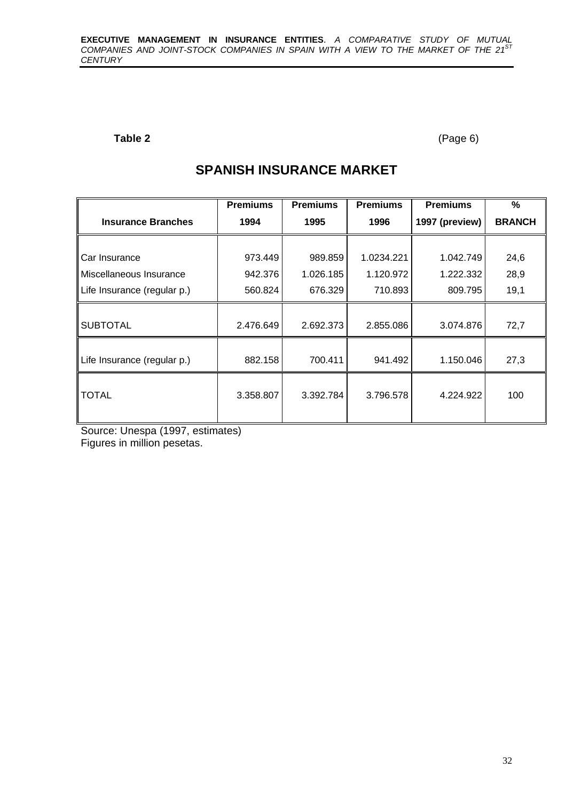#### Table 2 (Page 6)

# **SPANISH INSURANCE MARKET**

|                             | <b>Premiums</b> | <b>Premiums</b> | <b>Premiums</b> | <b>Premiums</b> | %             |
|-----------------------------|-----------------|-----------------|-----------------|-----------------|---------------|
| <b>Insurance Branches</b>   | 1994            | 1995            | 1996            | 1997 (preview)  | <b>BRANCH</b> |
|                             |                 |                 |                 |                 |               |
| Car Insurance               | 973.449         | 989.859         | 1.0234.221      | 1.042.749       | 24,6          |
| Miscellaneous Insurance     | 942.376         | 1.026.185       | 1.120.972       | 1.222.332       | 28,9          |
| Life Insurance (regular p.) | 560.824         | 676.329         | 710.893         | 809.795         | 19,1          |
|                             |                 |                 |                 |                 |               |
| <b>SUBTOTAL</b>             | 2.476.649       | 2.692.373       | 2.855.086       | 3.074.876       | 72,7          |
|                             |                 |                 |                 |                 |               |
| Life Insurance (regular p.) | 882.158         | 700.411         | 941.492         | 1.150.046       | 27,3          |
|                             |                 |                 |                 |                 |               |
| TOTAL                       | 3.358.807       | 3.392.784       | 3.796.578       | 4.224.922       | 100           |
|                             |                 |                 |                 |                 |               |

Source: Unespa (1997, estimates)

Figures in million pesetas.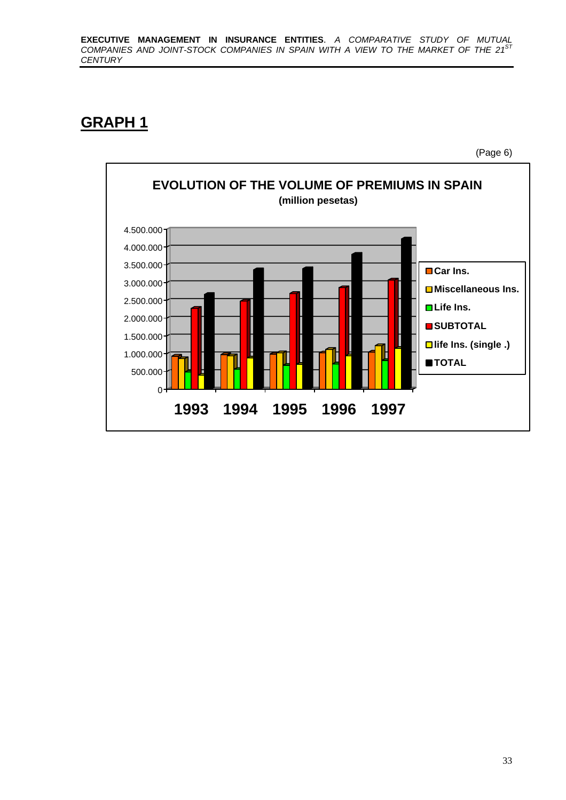# **GRAPH 1**

(Page 6)

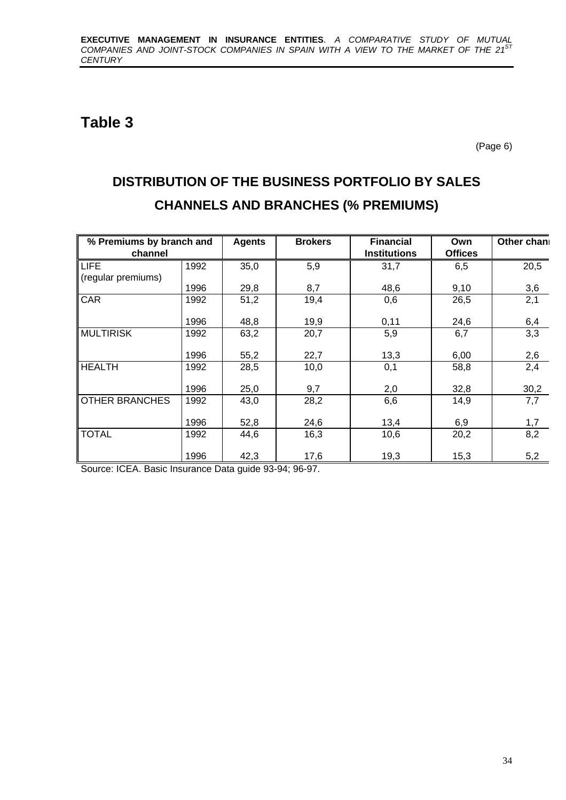# **Table 3**

(Page 6)

# **DISTRIBUTION OF THE BUSINESS PORTFOLIO BY SALES CHANNELS AND BRANCHES (% PREMIUMS)**

| % Premiums by branch and |      | <b>Agents</b> | <b>Brokers</b> | <b>Financial</b>    | Own            | Other chan |
|--------------------------|------|---------------|----------------|---------------------|----------------|------------|
| channel                  |      |               |                | <b>Institutions</b> | <b>Offices</b> |            |
| LIFE                     | 1992 | 35,0          | 5,9            | 31,7                | 6,5            | 20,5       |
| (regular premiums)       |      |               |                |                     |                |            |
|                          | 1996 | 29,8          | 8,7            | 48,6                | 9,10           | 3,6        |
| <b>CAR</b>               | 1992 | 51,2          | 19,4           | 0,6                 | 26,5           | 2,1        |
|                          |      |               |                |                     |                |            |
|                          | 1996 | 48,8          | 19,9           | 0,11                | 24,6           | 6,4        |
| <b>MULTIRISK</b>         | 1992 | 63,2          | 20,7           | 5,9                 | 6,7            | 3,3        |
|                          |      |               |                |                     |                |            |
|                          | 1996 | 55,2          | 22,7           | 13,3                | 6,00           | 2,6        |
| <b>HEALTH</b>            | 1992 | 28,5          | 10,0           | 0,1                 | 58,8           | 2,4        |
|                          |      |               |                |                     |                |            |
|                          | 1996 | 25,0          | 9,7            | 2,0                 | 32,8           | 30,2       |
| <b>OTHER BRANCHES</b>    | 1992 | 43,0          | 28,2           | 6,6                 | 14,9           | 7,7        |
|                          |      |               |                |                     |                |            |
|                          | 1996 | 52,8          | 24,6           | 13,4                | 6,9            | 1,7        |
| <b>TOTAL</b>             | 1992 | 44,6          | 16,3           | 10,6                | 20,2           | 8,2        |
|                          |      |               |                |                     |                |            |
|                          | 1996 | 42,3          | 17,6           | 19,3                | 15,3           | 5,2        |

Source: ICEA. Basic Insurance Data guide 93-94; 96-97.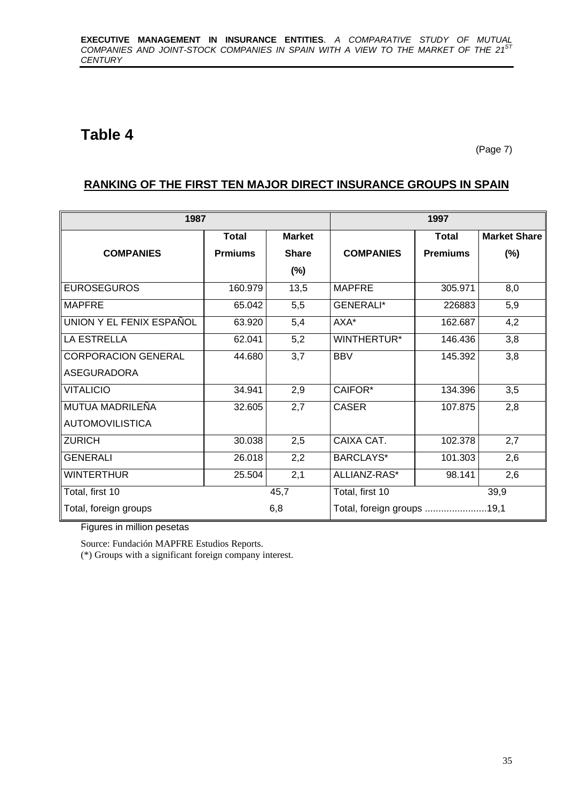# **Table 4**

(Page 7)

#### **RANKING OF THE FIRST TEN MAJOR DIRECT INSURANCE GROUPS IN SPAIN**

| 1987                       |                |               | 1997                       |                 |                     |  |  |
|----------------------------|----------------|---------------|----------------------------|-----------------|---------------------|--|--|
|                            | Total          | <b>Market</b> |                            | <b>Total</b>    | <b>Market Share</b> |  |  |
| <b>COMPANIES</b>           | <b>Prmiums</b> | <b>Share</b>  | <b>COMPANIES</b>           | <b>Premiums</b> | $(\%)$              |  |  |
|                            |                | $(\%)$        |                            |                 |                     |  |  |
| <b>EUROSEGUROS</b>         | 160.979        | 13,5          | <b>MAPFRE</b>              | 305.971         | 8,0                 |  |  |
| <b>MAPFRE</b>              | 65.042         | 5,5           | <b>GENERALI*</b>           | 226883          | 5,9                 |  |  |
| UNION Y EL FENIX ESPAÑOL   | 63.920         | 5,4           | AXA*                       | 162.687         | 4,2                 |  |  |
| <b>LA ESTRELLA</b>         | 62.041         | 5,2           | WINTHERTUR*                | 146.436         | 3,8                 |  |  |
| <b>CORPORACION GENERAL</b> | 44.680         | 3,7           | <b>BBV</b>                 | 145.392         | 3,8                 |  |  |
| <b>ASEGURADORA</b>         |                |               |                            |                 |                     |  |  |
| <b>VITALICIO</b>           | 34.941         | 2,9           | CAIFOR*                    | 134.396         | 3,5                 |  |  |
| MUTUA MADRILEÑA            | 32.605         | 2,7           | <b>CASER</b>               | 107.875         | 2,8                 |  |  |
| <b>AUTOMOVILISTICA</b>     |                |               |                            |                 |                     |  |  |
| <b>ZURICH</b>              | 30.038         | 2,5           | CAIXA CAT.                 | 102.378         | 2,7                 |  |  |
| <b>GENERALI</b>            | 26.018         | 2,2           | BARCLAYS*                  | 101.303         | 2,6                 |  |  |
| <b>WINTERTHUR</b>          | 25.504         | 2,1           | ALLIANZ-RAS*               | 98.141          | 2,6                 |  |  |
| Total, first 10            |                | 45,7          | Total, first 10            |                 | 39,9                |  |  |
| Total, foreign groups      |                | 6,8           | Total, foreign groups 19,1 |                 |                     |  |  |

Figures in million pesetas

Source: Fundación MAPFRE Estudios Reports.

(\*) Groups with a significant foreign company interest.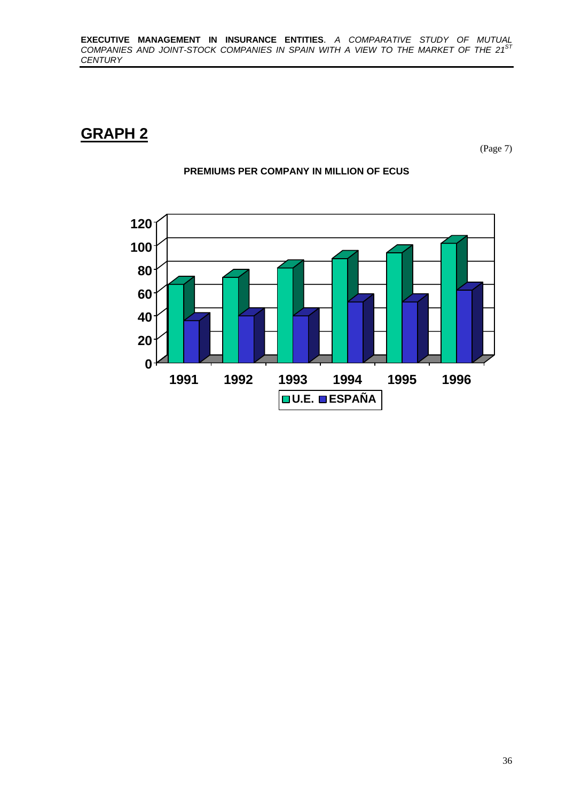# **GRAPH 2**

(Page 7)



#### **PREMIUMS PER COMPANY IN MILLION OF ECUS**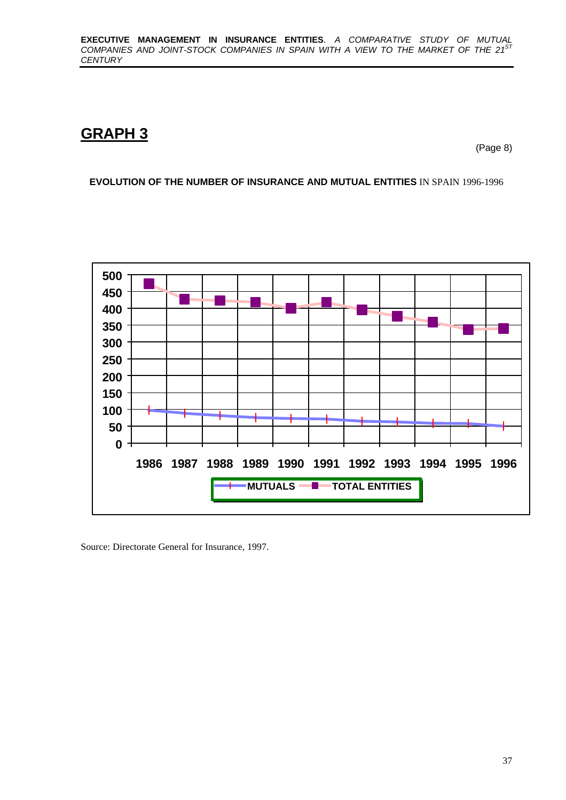# **GRAPH 3**

(Page 8)

**EVOLUTION OF THE NUMBER OF INSURANCE AND MUTUAL ENTITIES** IN SPAIN 1996-1996



Source: Directorate General for Insurance, 1997.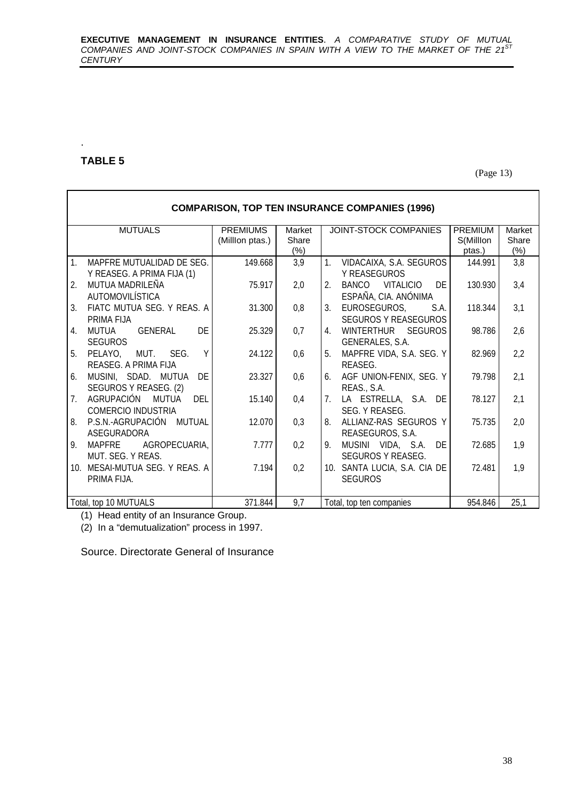## **TABLE 5**

.

(Page 13)

| <b>COMPARISON, TOP TEN INSURANCE COMPANIES (1996)</b>                     |                                   |                           |                                                                                            |  |  |  |  |  |  |  |  |
|---------------------------------------------------------------------------|-----------------------------------|---------------------------|--------------------------------------------------------------------------------------------|--|--|--|--|--|--|--|--|
| <b>MUTUALS</b>                                                            | <b>PREMIUMS</b><br>(Millon ptas.) | Market<br>Share<br>$(\%)$ | JOINT-STOCK COMPANIES<br><b>PREMIUM</b><br>Market<br>Share<br>S(Millon<br>$(\%)$<br>ptas.) |  |  |  |  |  |  |  |  |
| 1 <sub>1</sub><br>MAPFRE MUTUALIDAD DE SEG.<br>Y REASEG. A PRIMA FIJA (1) | 149.668                           | 3,9                       | 1.<br>VIDACAIXA, S.A. SEGUROS<br>3,8<br>144.991<br>Y REASEGUROS                            |  |  |  |  |  |  |  |  |
| MUTUA MADRILEÑA<br>2.<br>AUTOMOVILÍSTICA                                  | 75.917                            | 2,0                       | 3,4<br>BANCO<br>VITALICIO<br>DE<br>130.930<br>2.<br>ESPAÑA, CIA. ANÓNIMA                   |  |  |  |  |  |  |  |  |
| FIATC MUTUA SEG. Y REAS. A<br>$\mathcal{E}$<br>PRIMA FIJA                 | 31.300                            | 0,8                       | 3,1<br>3.<br>EUROSEGUROS,<br>S.A.<br>118.344<br><b>SEGUROS Y REASEGUROS</b>                |  |  |  |  |  |  |  |  |
| DE<br>GENERAL<br>MUTUA<br>$4_{\cdot}$<br><b>SEGUROS</b>                   | 25.329                            | 0,7                       | WINTERTHUR SEGUROS<br>98.786<br>2,6<br>4.<br>GENERALES, S.A.                               |  |  |  |  |  |  |  |  |
| Y<br>5.<br>PELAYO, MUT. SEG.<br>REASEG. A PRIMA FIJA                      | 24.122                            | 0,6                       | 2,2<br>MAPFRE VIDA, S.A. SEG. Y<br>82.969<br>5.<br>REASEG.                                 |  |  |  |  |  |  |  |  |
| DE<br>MUSINI, SDAD. MUTUA<br>6.<br>SEGUROS Y REASEG. (2)                  | 23.327                            | 0,6                       | 2,1<br>AGF UNION-FENIX, SEG. Y<br>79.798<br>6.<br>REAS., S.A.                              |  |  |  |  |  |  |  |  |
| AGRUPACIÓN<br>MUTUA<br>DEI<br>7.<br>COMERCIO INDUSTRIA                    | 15.140                            | 0,4                       | 2,1<br>LA ESTRELLA, S.A. DE<br>78.127<br>$7_{\cdot}$<br>SEG. Y REASEG.                     |  |  |  |  |  |  |  |  |
| P.S.N.-AGRUPACIÓN MUTUAL<br>8.<br>ASEGURADORA                             | 12.070                            | 0,3                       | 75.735<br>2,0<br>ALLIANZ-RAS SEGUROS Y<br>8.<br>REASEGUROS, S.A.                           |  |  |  |  |  |  |  |  |
| MAPFRE<br>AGROPECUARIA,<br>9.<br>MUT. SEG. Y REAS.                        | 7.777                             | 0,2                       | 1,9<br>MUSINI VIDA, S.A. DE<br>72.685<br>9.<br>SEGUROS Y REASEG.                           |  |  |  |  |  |  |  |  |
| 10. MESAI-MUTUA SEG. Y REAS. A<br>PRIMA FIJA.                             | 7.194                             | 0,2                       | 1,9<br>72.481<br>10. SANTA LUCIA, S.A. CIA DE<br><b>SEGUROS</b>                            |  |  |  |  |  |  |  |  |
| Total, top 10 MUTUALS                                                     | 371.844                           | 9,7                       | 25,1<br>954.846<br>Total, top ten companies                                                |  |  |  |  |  |  |  |  |

(1) Head entity of an Insurance Group.

(2) In a "demutualization" process in 1997.

Source. Directorate General of Insurance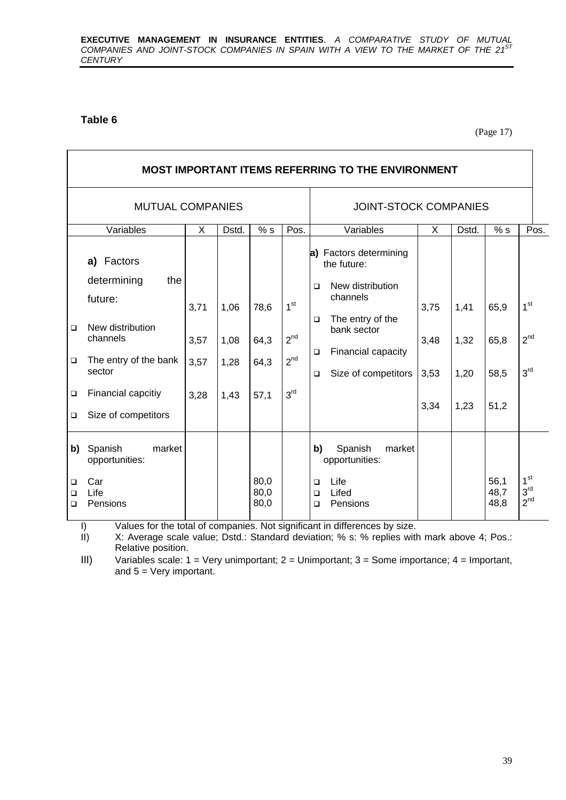#### **Table 6**

(Page 17)

|                                  | <b>MOST IMPORTANT ITEMS REFERRING TO THE ENVIRONMENT</b>                                                          |                      |                      |                      |                                                |                                                                                                                                                                                               |                      |                      |                      |                                                       |  |  |
|----------------------------------|-------------------------------------------------------------------------------------------------------------------|----------------------|----------------------|----------------------|------------------------------------------------|-----------------------------------------------------------------------------------------------------------------------------------------------------------------------------------------------|----------------------|----------------------|----------------------|-------------------------------------------------------|--|--|
|                                  | <b>MUTUAL COMPANIES</b>                                                                                           |                      |                      |                      | <b>JOINT-STOCK COMPANIES</b>                   |                                                                                                                                                                                               |                      |                      |                      |                                                       |  |  |
|                                  | Variables                                                                                                         | X                    | Dstd.                | % s                  | Pos.                                           | Variables                                                                                                                                                                                     | X                    | Dstd.                | % s                  | Pos.                                                  |  |  |
| $\Box$<br>$\Box$                 | Factors<br>a)<br>determining<br>the<br>future:<br>New distribution<br>channels<br>The entry of the bank<br>sector | 3,71<br>3,57<br>3,57 | 1,06<br>1,08<br>1,28 | 78,6<br>64,3<br>64,3 | 1 <sup>st</sup><br>2 <sup>nd</sup><br>$2^{nd}$ | a) Factors determining<br>the future:<br>New distribution<br>$\Box$<br>channels<br>The entry of the<br>$\Box$<br>bank sector<br>Financial capacity<br>$\Box$<br>Size of competitors<br>$\Box$ | 3,75<br>3,48<br>3,53 | 1,41<br>1,32<br>1,20 | 65,9<br>65,8<br>58,5 | 1 <sup>st</sup><br>2 <sup>nd</sup><br>3 <sup>rd</sup> |  |  |
| $\Box$<br>$\Box$                 | Financial capcitiy<br>Size of competitors                                                                         | 3,28                 | 1,43                 | 57,1                 | 3 <sup>rd</sup>                                |                                                                                                                                                                                               | 3,34                 | 1,23                 | 51,2                 |                                                       |  |  |
| b)<br>$\Box$<br>$\Box$<br>$\Box$ | market<br>Spanish<br>opportunities:<br>Car<br>Life<br>Pensions                                                    |                      |                      | 80,0<br>80,0<br>80,0 |                                                | b)<br>Spanish<br>market<br>opportunities:<br>Life<br>$\Box$<br>Lifed<br>$\Box$<br>Pensions<br>□                                                                                               |                      |                      | 56,1<br>48,7<br>48,8 | 1 <sup>st</sup><br>3 <sup>rd</sup><br>$2^{nd}$        |  |  |

I) Values for the total of companies. Not significant in differences by size.<br>II) X: Average scale value; Dstd.: Standard deviation; % s: % replies with

X: Average scale value; Dstd.: Standard deviation; % s: % replies with mark above 4; Pos.: Relative position.

III) Variables scale: 1 = Very unimportant; 2 = Unimportant; 3 = Some importance; 4 = Important, and 5 = Very important.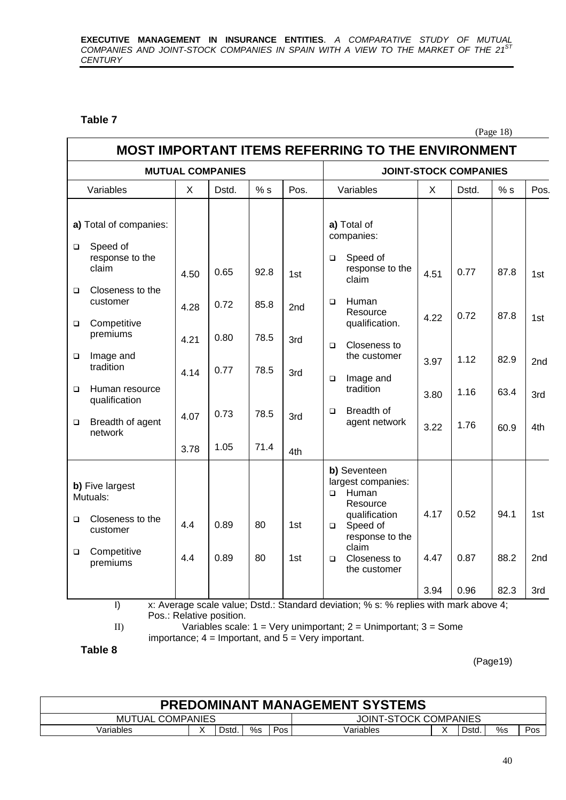#### **Table 7**

 $\overline{\phantom{a}}$ 

(Page 18)

|                  | <b>MUTUAL COMPANIES</b>                     |      |       |      |      |        | <b>JOINT-STOCK COMPANIES</b>                                                         |      |       |      |      |  |
|------------------|---------------------------------------------|------|-------|------|------|--------|--------------------------------------------------------------------------------------|------|-------|------|------|--|
|                  | Variables                                   | X    | Dstd. | % s  | Pos. |        | Variables                                                                            | X    | Dstd. | % s  | Pos. |  |
|                  | a) Total of companies:                      |      |       |      |      |        | a) Total of<br>companies:                                                            |      |       |      |      |  |
| $\Box$           | Speed of<br>response to the<br>claim        | 4.50 | 0.65  | 92.8 | 1st  | $\Box$ | Speed of<br>response to the<br>claim                                                 | 4.51 | 0.77  | 87.8 | 1st  |  |
| $\Box$<br>$\Box$ | Closeness to the<br>customer<br>Competitive | 4.28 | 0.72  | 85.8 | 2nd  | $\Box$ | Human<br>Resource<br>qualification.                                                  | 4.22 | 0.72  | 87.8 | 1st  |  |
| $\Box$           | premiums<br>Image and<br>tradition          | 4.21 | 0.80  | 78.5 | 3rd  | $\Box$ | Closeness to<br>the customer                                                         | 3.97 | 1.12  | 82.9 | 2nd  |  |
| $\Box$           | Human resource<br>qualification             | 4.14 | 0.77  | 78.5 | 3rd  | $\Box$ | Image and<br>tradition                                                               | 3.80 | 1.16  | 63.4 | 3rd  |  |
| $\Box$           | Breadth of agent<br>network                 | 4.07 | 0.73  | 78.5 | 3rd  | $\Box$ | Breadth of<br>agent network                                                          | 3.22 | 1.76  | 60.9 | 4th  |  |
|                  |                                             | 3.78 | 1.05  | 71.4 | 4th  |        |                                                                                      |      |       |      |      |  |
|                  | b) Five largest<br>Mutuals:                 |      |       |      |      | $\Box$ | b) Seventeen<br>largest companies:<br>Human<br>Resource                              |      |       |      |      |  |
| $\Box$           | Closeness to the<br>customer                | 4.4  | 0.89  | 80   | 1st  | $\Box$ | qualification<br>Speed of<br>response to the<br>claim                                | 4.17 | 0.52  | 94.1 | 1st  |  |
| $\Box$           | Competitive<br>premiums                     | 4.4  | 0.89  | 80   | 1st  | $\Box$ | Closeness to<br>the customer                                                         | 4.47 | 0.87  | 88.2 | 2nd  |  |
|                  | $\vert$                                     |      |       |      |      |        | x: Average scale value; Dstd.: Standard deviation; % s: % replies with mark above 4; | 3.94 | 0.96  | 82.3 | 3rd  |  |

II) Variables scale: 1 = Very unimportant; 2 = Unimportant; 3 = Some importance;  $4 =$  Important, and  $5 =$  Very important.

**Table 8**

(Page19)

| <b>PREDOMINANT MANAGEMENT SYSTEMS</b> |  |      |    |            |                       |  |      |    |     |  |
|---------------------------------------|--|------|----|------------|-----------------------|--|------|----|-----|--|
| <b>MUTUAL COMPANIES</b>               |  |      |    |            | JOINT-STOCK COMPANIES |  |      |    |     |  |
| √ariables                             |  | Dstd | %s | <b>Pos</b> | Variables             |  | Dstd | %s | Pos |  |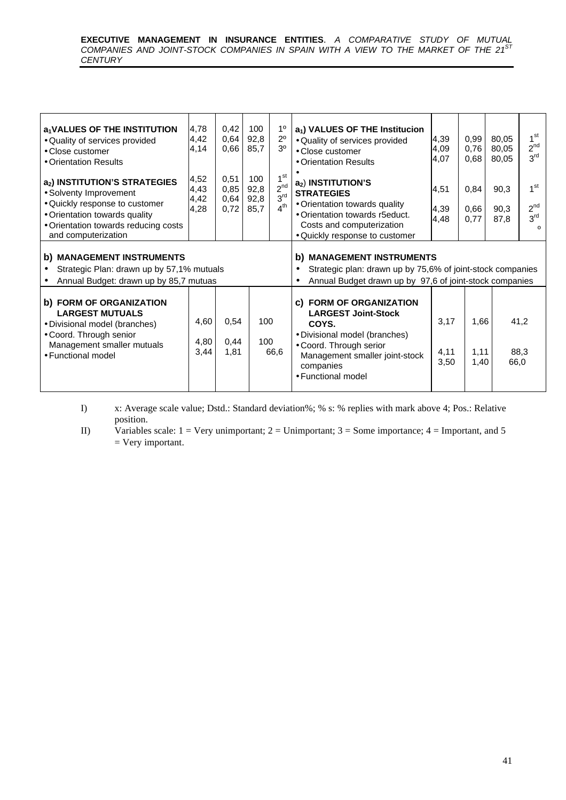#### **EXECUTIVE MANAGEMENT IN INSURANCE ENTITIES**. *A COMPARATIVE STUDY OF MUTUAL COMPANIES AND JOINT-STOCK COMPANIES IN SPAIN WITH A VIEW TO THE MARKET OF THE 21ST CENTURY*

| a <sub>1</sub> VALUES OF THE INSTITUTION<br>· Quality of services provided<br>• Close customer<br>• Orientation Results<br>a <sub>2</sub> ) INSTITUTION'S STRATEGIES<br>• Solventy Improvement<br>• Quickly response to customer<br>• Orientation towards quality<br>• Orientation towards reducing costs<br>and computerization | 4,78<br>4,42<br>4,14<br>4,52<br>4,43<br>4,42<br>4,28 | 0,42<br>0,64<br>0,66<br>0,51<br>0,85<br>0,64<br>0,72 | 100<br>92,8<br>85,7<br>100<br>92,8<br>92,8<br>85,7 | 1 <sup>0</sup><br>$2^{\circ}$<br>3 <sup>0</sup><br>1 <sup>st</sup><br>$2^{nd}$<br>3 <sup>rd</sup><br>4 <sup>th</sup> | a <sub>1</sub> ) VALUES OF THE Institucion<br>· Quality of services provided<br>• Close customer<br>• Orientation Results<br>$a_2$ ) INSTITUTION'S<br><b>STRATEGIES</b><br>• Orientation towards quality<br>• Orientation towards r5educt.<br>Costs and computerization<br>· Quickly response to customer | 4,39<br>4,09<br>4,07<br>4,51<br>4,39<br>4,48 | 0,99<br>0,76<br>0,68<br>0,84<br>0,66<br>0,77 | 80,05<br>80,05<br>80,05<br>90.3<br>90,3<br>87,8 | 1 <sup>st</sup><br>$2^{nd}$<br>3 <sup>rd</sup><br>1 <sup>st</sup><br>$2^{nd}$<br>3 <sup>rd</sup><br>$\Omega$ |
|----------------------------------------------------------------------------------------------------------------------------------------------------------------------------------------------------------------------------------------------------------------------------------------------------------------------------------|------------------------------------------------------|------------------------------------------------------|----------------------------------------------------|----------------------------------------------------------------------------------------------------------------------|-----------------------------------------------------------------------------------------------------------------------------------------------------------------------------------------------------------------------------------------------------------------------------------------------------------|----------------------------------------------|----------------------------------------------|-------------------------------------------------|--------------------------------------------------------------------------------------------------------------|
| b) MANAGEMENT INSTRUMENTS<br>Strategic Plan: drawn up by 57,1% mutuals<br>Annual Budget: drawn up by 85,7 mutuas                                                                                                                                                                                                                 |                                                      |                                                      |                                                    |                                                                                                                      | b) MANAGEMENT INSTRUMENTS<br>Strategic plan: drawn up by 75,6% of joint-stock companies<br>Annual Budget drawn up by 97,6 of joint-stock companies                                                                                                                                                        |                                              |                                              |                                                 |                                                                                                              |
| b) FORM OF ORGANIZATION<br><b>LARGEST MUTUALS</b><br>· Divisional model (branches)<br>• Coord. Through senior<br>Management smaller mutuals<br>• Functional model                                                                                                                                                                | 4,60<br>4,80<br>3,44                                 | 0,54<br>0,44<br>1,81                                 | 100<br>100                                         | 66,6                                                                                                                 | c) FORM OF ORGANIZATION<br><b>LARGEST Joint-Stock</b><br>COYS.<br>• Divisional model (branches)<br>· Coord. Through serior<br>Management smaller joint-stock<br>companies<br>• Functional model                                                                                                           | 3,17<br>4,11<br>3,50                         | 1,66<br>1,11<br>1,40                         | 66,0                                            | 41,2<br>88,3                                                                                                 |

I) x: Average scale value; Dstd.: Standard deviation%; % s: % replies with mark above 4; Pos.: Relative position.

II) Variables scale:  $1 = \text{Very unimportant; } 2 = \text{Unimportant; } 3 = \text{Some importance; } 4 = \text{Important, and } 5$  $=$  Very important.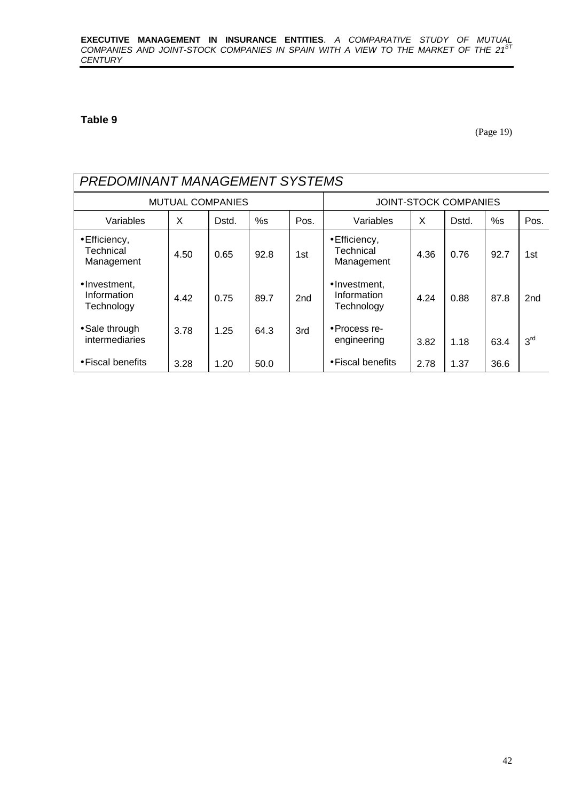#### **Table 9**

(Page 19)

|                                           | <b>PREDOMINANT MANAGEMENT SYSTEMS</b> |       |      |      |                                            |      |                              |      |                 |  |  |  |
|-------------------------------------------|---------------------------------------|-------|------|------|--------------------------------------------|------|------------------------------|------|-----------------|--|--|--|
|                                           | <b>MUTUAL COMPANIES</b>               |       |      |      |                                            |      | <b>JOINT-STOCK COMPANIES</b> |      |                 |  |  |  |
| Variables                                 | X                                     | Dstd. | %s   | Pos. | Variables                                  | X    | Dstd.                        | %s   | Pos.            |  |  |  |
| • Efficiency,<br>Technical<br>Management  | 4.50                                  | 0.65  | 92.8 | 1st  | • Efficiency,<br>Technical<br>Management   | 4.36 | 0.76                         | 92.7 | 1st             |  |  |  |
| •Investment,<br>Information<br>Technology | 4.42                                  | 0.75  | 89.7 | 2nd  | • Investment.<br>Information<br>Technology | 4.24 | 0.88                         | 87.8 | 2 <sub>nd</sub> |  |  |  |
| • Sale through<br>intermediaries          | 3.78                                  | 1.25  | 64.3 | 3rd  | • Process re-<br>engineering               | 3.82 | 1.18                         | 63.4 | 3 <sup>rd</sup> |  |  |  |
| • Fiscal benefits                         | 3.28                                  | 1.20  | 50.0 |      | $\bullet$ Fiscal benefits                  | 2.78 | 1.37                         | 36.6 |                 |  |  |  |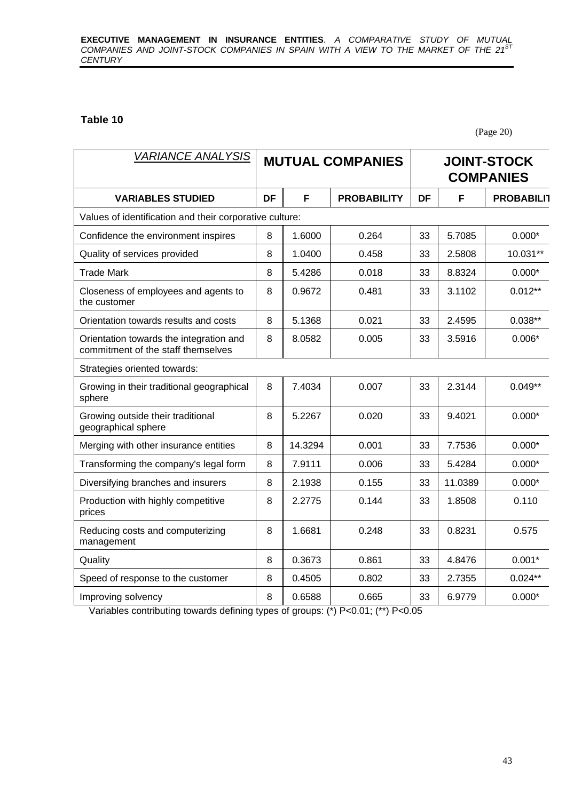#### **Table 10**

(Page 20)

| <b>VARIANCE ANALYSIS</b>                                                      | <b>MUTUAL COMPANIES</b> |         |                    |    |         | <b>JOINT-STOCK</b><br><b>COMPANIES</b> |
|-------------------------------------------------------------------------------|-------------------------|---------|--------------------|----|---------|----------------------------------------|
| <b>VARIABLES STUDIED</b>                                                      | DF                      | F       | <b>PROBABILITY</b> | DF | F       | <b>PROBABILIT</b>                      |
| Values of identification and their corporative culture:                       |                         |         |                    |    |         |                                        |
| Confidence the environment inspires                                           | 8                       | 1.6000  | 0.264              | 33 | 5.7085  | $0.000*$                               |
| Quality of services provided                                                  | 8                       | 1.0400  | 0.458              | 33 | 2.5808  | 10.031**                               |
| <b>Trade Mark</b>                                                             | 8                       | 5.4286  | 0.018              | 33 | 8.8324  | $0.000*$                               |
| Closeness of employees and agents to<br>the customer                          | 8                       | 0.9672  | 0.481              | 33 | 3.1102  | $0.012**$                              |
| Orientation towards results and costs                                         | 8                       | 5.1368  | 0.021              | 33 | 2.4595  | $0.038**$                              |
| Orientation towards the integration and<br>commitment of the staff themselves | 8                       | 8.0582  | 0.005              | 33 | 3.5916  | $0.006*$                               |
| Strategies oriented towards:                                                  |                         |         |                    |    |         |                                        |
| Growing in their traditional geographical<br>sphere                           | 8                       | 7.4034  | 0.007              | 33 | 2.3144  | $0.049**$                              |
| Growing outside their traditional<br>geographical sphere                      | 8                       | 5.2267  | 0.020              | 33 | 9.4021  | $0.000*$                               |
| Merging with other insurance entities                                         | 8                       | 14.3294 | 0.001              | 33 | 7.7536  | $0.000*$                               |
| Transforming the company's legal form                                         | 8                       | 7.9111  | 0.006              | 33 | 5.4284  | $0.000*$                               |
| Diversifying branches and insurers                                            | 8                       | 2.1938  | 0.155              | 33 | 11.0389 | $0.000*$                               |
| Production with highly competitive<br>prices                                  | 8                       | 2.2775  | 0.144              | 33 | 1.8508  | 0.110                                  |
| Reducing costs and computerizing<br>management                                | 8                       | 1.6681  | 0.248              | 33 | 0.8231  | 0.575                                  |
| Quality                                                                       | 8                       | 0.3673  | 0.861              | 33 | 4.8476  | $0.001*$                               |
| Speed of response to the customer                                             | 8                       | 0.4505  | 0.802              | 33 | 2.7355  | $0.024**$                              |
| Improving solvency                                                            | 8                       | 0.6588  | 0.665              | 33 | 6.9779  | $0.000*$                               |

Variables contributing towards defining types of groups: (\*) P<0.01; (\*\*) P<0.05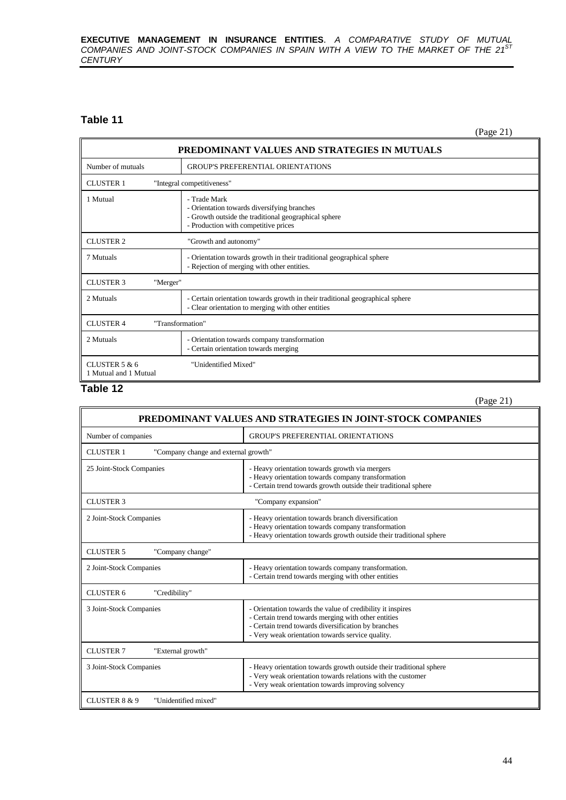#### **EXECUTIVE MANAGEMENT IN INSURANCE ENTITIES**. *A COMPARATIVE STUDY OF MUTUAL COMPANIES AND JOINT-STOCK COMPANIES IN SPAIN WITH A VIEW TO THE MARKET OF THE 21ST CENTURY*

#### **Table 11**

(Page 21)

| PREDOMINANT VALUES AND STRATEGIES IN MUTUALS   |                                                                                                                                                             |  |
|------------------------------------------------|-------------------------------------------------------------------------------------------------------------------------------------------------------------|--|
| Number of mutuals                              | <b>GROUP'S PREFERENTIAL ORIENTATIONS</b>                                                                                                                    |  |
| <b>CLUSTER 1</b><br>"Integral competitiveness" |                                                                                                                                                             |  |
| 1 Mutual                                       | - Trade Mark<br>- Orientation towards diversifying branches<br>- Growth outside the traditional geographical sphere<br>- Production with competitive prices |  |
| <b>CLUSTER 2</b><br>"Growth and autonomy"      |                                                                                                                                                             |  |
| 7 Mutuals                                      | - Orientation towards growth in their traditional geographical sphere<br>- Rejection of merging with other entities.                                        |  |
| <b>CLUSTER 3</b><br>"Merger"                   |                                                                                                                                                             |  |
| 2 Mutuals                                      | - Certain orientation towards growth in their traditional geographical sphere<br>- Clear orientation to merging with other entities                         |  |
| "Transformation"<br><b>CLUSTER 4</b>           |                                                                                                                                                             |  |
| 2 Mutuals                                      | - Orientation towards company transformation<br>- Certain orientation towards merging                                                                       |  |
| CLUSTER $5 & 6$<br>1 Mutual and 1 Mutual       | "Unidentified Mixed"                                                                                                                                        |  |

#### **Table 12**

(Page 21)

| PREDOMINANT VALUES AND STRATEGIES IN JOINT-STOCK COMPANIES |                                                                                                                                                                                                                              |  |
|------------------------------------------------------------|------------------------------------------------------------------------------------------------------------------------------------------------------------------------------------------------------------------------------|--|
| Number of companies                                        | <b>GROUP'S PREFERENTIAL ORIENTATIONS</b>                                                                                                                                                                                     |  |
| <b>CLUSTER 1</b><br>"Company change and external growth"   |                                                                                                                                                                                                                              |  |
| 25 Joint-Stock Companies                                   | - Heavy orientation towards growth via mergers<br>- Heavy orientation towards company transformation<br>- Certain trend towards growth outside their traditional sphere                                                      |  |
| <b>CLUSTER 3</b>                                           | "Company expansion"                                                                                                                                                                                                          |  |
| 2 Joint-Stock Companies                                    | - Heavy orientation towards branch diversification<br>- Heavy orientation towards company transformation<br>- Heavy orientation towards growth outside their traditional sphere                                              |  |
| <b>CLUSTER 5</b><br>"Company change"                       |                                                                                                                                                                                                                              |  |
| 2 Joint-Stock Companies                                    | - Heavy orientation towards company transformation.<br>- Certain trend towards merging with other entities                                                                                                                   |  |
| <b>CLUSTER 6</b><br>"Credibility"                          |                                                                                                                                                                                                                              |  |
| 3 Joint-Stock Companies                                    | - Orientation towards the value of credibility it inspires<br>- Certain trend towards merging with other entities<br>- Certain trend towards diversification by branches<br>- Very weak orientation towards service quality. |  |
| <b>CLUSTER 7</b><br>"External growth"                      |                                                                                                                                                                                                                              |  |
| 3 Joint-Stock Companies                                    | - Heavy orientation towards growth outside their traditional sphere<br>- Very weak orientation towards relations with the customer<br>- Very weak orientation towards improving solvency                                     |  |
| CLUSTER 8 & 9<br>"Unidentified mixed"                      |                                                                                                                                                                                                                              |  |